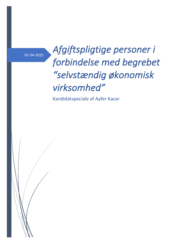# *Afgiftspligtige personer i* forbindelse med begrebet *"selvstændig økonomisk virksomhed"*

Kandidatspeciale af Ayfer Kacar

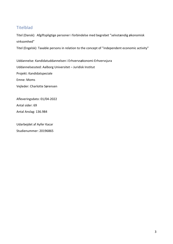## **Titelblad**

Titel (Dansk): Afgiftspligtige personer i forbindelse med begrebet "selvstændig økonomisk virksomhed" 

Titel (Engelsk): Taxable persons in relation to the concept of "independent economic activity"

Uddannelse: Kandidatuddannelsen i Erhvervsøkonomi-Erhvervsjura Uddannelsessted: Aalborg Universitet - Juridisk Institut Projekt: Kandidatspeciale Emne: Moms Vejleder: Charlotte Sørensen

Afleveringsdato: 01/04-2022 Antal sider: 69 Antal Anslag: 136.984

Udarbejdet af Ayfer Kacar Studienummer: 20196865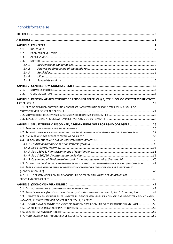## Indholdsfortegnelse

| 1.1.   |                                                                                                             |  |
|--------|-------------------------------------------------------------------------------------------------------------|--|
| 1.2.   |                                                                                                             |  |
| 1.3.   |                                                                                                             |  |
| 1.4.   |                                                                                                             |  |
| 1.4.1. |                                                                                                             |  |
| 1.4.2. |                                                                                                             |  |
| 1.4.3. |                                                                                                             |  |
| 1.4.4. |                                                                                                             |  |
| 1.4.5. |                                                                                                             |  |
|        |                                                                                                             |  |
| 2.1.   |                                                                                                             |  |
| 2.2.   |                                                                                                             |  |
|        | KAPITEL 3: KREDSEN AF AFGIFTSPLIGTIGE PERSONER EFTER ML § 3, STK. 1 OG MOMSSYSTEMDIREKTIVET                 |  |
|        |                                                                                                             |  |
|        | 3.1. BRED OG EKSKLUSIV FORTOLKNING AF BEGREBET "AFGIFTSPLIGTIG PERSON" EFTER ML § 3, STK. 1 OG              |  |
|        |                                                                                                             |  |
|        |                                                                                                             |  |
|        |                                                                                                             |  |
|        | KAPITEL 4: SELVSTÆNDIG VIRKSOMHED, AFGRÆNSNING OVER FOR LØNMODTAGERE  26                                    |  |
|        |                                                                                                             |  |
|        | 4.2. RETNINGSLINJER FOR AFGRÆNSNING MELLEM SELVSTÆNDIGT ERHVERVSDRIVENDE OG LØNMODTAGERE27                  |  |
|        |                                                                                                             |  |
|        |                                                                                                             |  |
|        |                                                                                                             |  |
|        |                                                                                                             |  |
|        |                                                                                                             |  |
|        |                                                                                                             |  |
|        |                                                                                                             |  |
|        | 4.5. DELKONKLUSION PÅ SELVSTÆNDIGHEDSBEGREBET I FORHOLD TIL AFGRÆNSNING OVER FOR LØNMODTAGERE 42            |  |
|        | 4.6. AFGRÆNSNING MELLEM ERHVERVSMÆSSIG VIRKSOMHED OG IKKE-ERHVERVSMÆSSIG VIRKSOMHED                         |  |
|        |                                                                                                             |  |
|        | 4.7. TEUF'S BESTEMMELSER OM FRI BEVÆGELIGHED OG FRI ETABLERING IFT. DET MOMSMÆSSIGE                         |  |
|        |                                                                                                             |  |
|        |                                                                                                             |  |
|        |                                                                                                             |  |
|        | 5.2. ALLE FORMER FOR ØKONOMISK VIRKSOMHED, MOMSSYSTEMDIREKTIVET ART. 9, STK. 1, 2. AFSNIT, 1. PKT 49        |  |
|        | 5.3. UDNYTTELSE AF MATERIELLE ELLER IMMATERIELLE GODER MED HENBLIK PÅ OPNÅELSE AF INDTÆGTER AF EN VIS VARIG |  |
|        |                                                                                                             |  |
|        | 5.4. HENSIGT OM AT PÅBEGYNDE SELVSTÆNDIG ØKONOMISK VIRKSOMHED OG FORBEREDENDE HANDLINGER 53                 |  |
|        |                                                                                                             |  |
|        |                                                                                                             |  |
|        |                                                                                                             |  |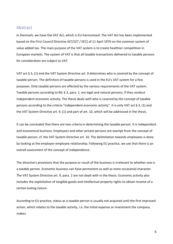#### Abstract

In Denmark, we have the VAT Act, which is EU-harmonized. The VAT Act has been implemented based on the First Council Directive (67/227 / EEC) of 11 April 1976 on the common system of value added tax. The main purpose of the VAT system is to create healthier competition in European markets. The system of VAT is that all taxable transactions delivered to taxable persons for consideration are subject to VAT.

VAT act  $\S$  3, (1) and the VAT System Directive art. 9 determines who is covered by the concept of taxable person. The definition of taxable persons is used in the EU's VAT system for a few purposes. Only taxable persons are affected by the various requirements of the VAT system. Taxable persons according to ML  $\S$  3, para. 1, are legal and natural persons, if they conduct independent economic activity. The thesis deals with who is covered by the concept of taxable persons according to the criteria "independent economic activity". It is only VAT act  $\S 3$ , (1) and the VAT System Directive art.  $9$ , (1) and part of art. 10, which will be addressed in the thesis.

It can be concluded that there are two criteria in determining the taxable person. It is independent and economical business. Employees and other private persons are exempt from the concept of taxable person, cf. the VAT System Directive art. 10. The delimitation towards employees is done by looking at the employer-employee relationship. Following EU practice, we see that there is an overall assessment of the concept of independence.

The directive's provisions that the purpose or result of the business is irrelevant to whether one is a taxable person. Economic business can have permanent as well as more occasional character. The VAT System Directive art. 9, para. 2 are not dealt with in the thesis. Economic activity also includes the exploitation of tangible goods and intellectual property rights to obtain income of a certain lasting nature.

According to EU practice, status as a taxable person is usually not acquired until the first improved action, which relates to the taxable activity, i.e. the initial expense or investment the company makes.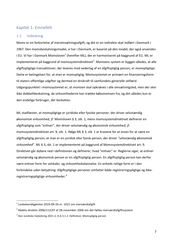## Kapitel 1: Emnefelt

#### 1.1. Indledning

Moms er en forkortelse af meromsætningsafgift, og det er en indirekte skat indført i Danmark i 1967. Den momsbeskatningsmodel, vi har i Danmark, er baseret på den model, der også anvendes i EU. Vi har i Danmark Momsloven<sup>1</sup> (herefter ML), der er harmoniseret på baggrund af EU. ML er implementeret på baggrund af momssystemdirektivet $^2$ . Momsens system er bygget således, at alle afgiftspligtige transaktioner, der leveres mod vederlag af en afgiftspligtig person, er *momspligtige*. Dette er betingelsen for, at man er momspligtig. Momssystemet er primært en finansieringsform til staters offentlige udgifter og dermed en drivkraft til samfundets generelle velfærd. Udgangspunktet i momssystemet er, at momsen skal opkræves i alle omsætningsled, men der sker ikke dobbeltbeskatning, da virksomhederne kan trække købsmomsen fra, og det således kun er den endelige forbruger, der beskattes.

ML stadfæster, at momspligtige er juridiske eller fysiske personer, der driver selvstændig økonomisk virksomhed, jf. Momsloven § 3, stk. 1, mens momssystemdirektivet definerer en afgiftspligtig som "enhver", der driver selvstændig og økonomisk virksomhed, jf. momssystemdirektivet art. 9, stk. 1. Ifølge ML § 3, stk. 1 er kravene for at anses for at være en afgiftspligtig person, at man er en juridisk eller fysisk person, der driver "selvstændig økonomisk virksomhed". ML § 3, skt. 1 er implementeret på baggrund af Momssystemdirektivet art. 9. Direktivet går dybere ned i definitionen og definerer, hvad "enhver" er. Reglerne siger, at enhver selvstændig og økonomisk person er en afgiftspligtig person. En afgiftspligtig person kan derfor være enhver form for selskabs- og virksomhedsdannelse. En enheds retlige form er i den forbindelse uden betydning. Afgiftspligtige personer omfatter både registreringspligtige og ikkeregistreringspligtige virksomheder. $3$ 

 

 $1$  Lovbekendtgørelse 2019-09-26 nr. 1021 om merværdiafgift

 $2$  Rådets direktiv 2006/112/EF af 28.november 2006 om det fælles merværdiafgiftssystem

 $3$  Den Juridiske Vejledning 2021-2, D.A.3.1.2. Definition: Momspligtig person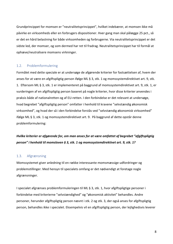Grundprincippet for momsen er "neutralitetsprincippet", hvilket indebærer, at momsen ikke må påvirke en virksomheds eller en forbrugers dispositioner. Hver gang man skal pålægge 25 pct., så er det en hård belastning for både virksomheden og forbrugerne. Via neutralitetsprincippet er det sidste led, der momser, og som dermed har ret til fradrag. Neutralitetsprincippet har til formål at ophæve/neutralisere momsens virkninger. 

#### 1.2. Problemformulering

Formålet med dette speciale er at undersøge de afgørende kriterier for fastsættelsen af, hvem der anses for at være en afgiftspligtig person ifølge ML § 3, stk. 1 og momssystemdirektivet art. 9, stk. 1. Eftersom ML § 3, stk. 1 er implementeret på baggrund af momssystemdirektivet art. 9, stk. 1, er vurderingen af en afgiftspligtig person baseret på nogle kriterier, hvor disse kriterier anvendes i praksis både af nationalretten og af EU-retten. I den forbindelse er det relevant at undersøge, hvad begrebet "afgiftspligtig person" omfatter i henhold til kravene "selvstændig økonomisk virksomhed", og hvad der så i den forbindelse forstås ved "selvstændig økonomisk virksomhed" ifølge ML § 3, stk. 1 og momssystemdirektivet art. 9. På baggrund af dette opstår denne problemformulering: 

*Hvilke kriterier er afgørende for, om man anses for at være omfattet af begrebet "afgiftspligtig person" i* henhold til momsloven § 3, stk. 1 og momssystemdirektivet art. 9, stk. 1?

#### 1.3. Afgrænsning

Momssystemet giver anledning til en række interessante momsmæssige udfordringer og problemstillinger. Med hensyn til specialets omfang er det nødvendigt at foretage nogle afgrænsninger. 

I specialet afgrænses problemformuleringen til ML § 3, stk. 1, hvor afgiftspligtige personer i forbindelse med kriterierne "selvstændighed" og "økonomisk aktivitet" behandles. Andre personer, herunder afgiftspligtig person nævnt i stk. 2 og stk. 3, der også anses for afgiftspligtig person, behandles ikke i specialet. Eksempelvis vil en afgiftspligtig person, der lejlighedsvis leverer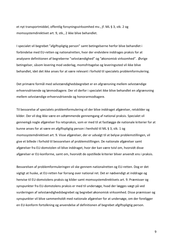et nyt transportmiddel, offentlig forsyningsvirksomhed mv., jf. ML § 3, stk. 2 og momssystemdirektivet art. 9, stk., 2 ikke blive behandlet.

I specialet vil begrebet "afgiftspligtig person" samt betingelserne herfor blive behandlet i forbindelse med EU-retten og nationalretten, hvor der endvidere inddrages praksis for at analysere definitionen af begreberne "selvstændighed" og "økonomisk virksomhed". Øvrige betingelser, såsom levering mod vederlag, momsfritagelse og leveringssted vil ikke blive behandlet, idet det ikke anses for at være relevant i forhold til specialets problemformulering.

Det primære formål med selvstændighedsbegrebet er en afgrænsning mellem selvstændige erhvervsdrivende og lønmodtagere. Der vil derfor i specialet ikke blive behandlet en afgrænsning mellem selvstændige erhvervsdrivende og honorarmodtagere.

Til besvarelse af specialets problemformulering vil der blive inddraget afgørelser, retskilder og kilder. Der vil dog ikke være en udtømmende gennemgang af national praksis. Specialet vil gennemgå nogle afgørelser fra retspraksis, som er med til at fastlægge de nationale kriterier for at kunne anses for at være en afgiftspligtig person i henhold til ML § 3, stk. 1 og momssystemdirektivet art. 9. Visse afgørelser, der er udvalgt til at belyse problemstillingen, vil give et billede i forhold til besvarelsen af problemstillingen. De nationale afgørelser samt afgørelser fra EU-domstolen vil blive inddraget, hvor der kan være tvivl om, hvorvidt disse afgørelser er EU-konforme, samt om, hvorvidt de opstillede kriterier bliver anvendt ens i praksis.

Besvarelsen af problemformuleringen vil ske gennem nationalretten og EU-retten. Dog er det vigtigt at huske, at EU-retten har forrang over national ret. Det er nødvendigt at inddrage og henvise til EU-domstolens praksis og kilder samt momssystemdirektivets art. 9. Præmisser og synspunkter fra EU-domstolens praksis er med til undersøge, hvad der lægges vægt på ved vurderingen af selvstændighedsbegrebet og begrebet økonomisk virksomhed. Disse præmisser og synspunkter vil blive sammenholdt med nationale afgørelser for at undersøge, om der foreligger en EU-konform fortolkning og anvendelse af definitionen af begrebet afgiftspligtig person.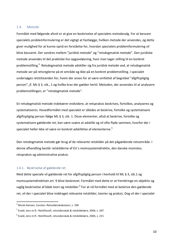#### 1.4. Metode

Formålet med følgende afsnit er at give en beskrivelse af specialets metodevalg. For at besvare specialets problemformulering er det vigtigt at fastlægge, hvilken metode der anvendes, og dette giver mulighed for at kunne opnå en forståelse for, hvordan specialets problemformulering vil blive besvaret. Der sondres mellem "juridisk metode" og "retsdogmatisk metode". Den juridiske metode anvendes til det praktiske livs opgaveløsning, hvor man tager stilling til en konkret problemstilling.<sup>4</sup> Retsdogmatisk metode adskiller sig fra juridisk metode ved, at retsdogmatisk metode ser på retsreglerne på et område og ikke på en konkret problemstilling. I specialet undersøges retstilstanden for, hvem der anses for at være omfattet af begrebet "afgiftspligtig person", jf. ML § 3, stk., 1 og hvilke krav der gælder hertil. Metoden, der anvendes til at analysere problemstillingen, er "retsdogmatisk metode".

En retsdogmatisk metode indebærer endvidere, at retspraksis beskrives, fortolkes, analyseres og systematiseres. Hovedformålet med specialet er således at beskrive, fortolke og systematisere afgiftspligtig person ifølge ML § 3, stk. 1. Disse elementer, altså at beskrive, fortolke og systematisere gældende ret, kan være svære at adskille og vil ofte flyde sammen, hvorfor der i specialet heller ikke vil være en konkret adskillelse af elementerne.<sup>5</sup>

Den retsdogmatisk metode gør brug af de relevante retskilder på det pågældende retsområde. I denne afhandling består retskilderne af EU's momssystemdirektiv, den danske momslov, retspraksis og administrative praksis.

#### 1.4.1. Beskrivelse af gældende ret

Med dette speciale vil gældende ret for afgiftspligtig person i henhold til ML § 3, stk.1 og momssystemdirektivet art. 9 blive beskrevet. Formålet med dette er at frembringe en objektiv og saglig beskrivelse af både teori og retskilder.<sup>6</sup> For at nå formålet med at beskrive den gældende ret, vil der i specialet blive inddraget relevante retskilder, teorier og praksis. Dog vil der i specialet

 $4$  Munk-Hansen, Carsten: Retsvidenskabsteori, s. 190

 $5$  Evald, Jens m.fl.: Retsfilosofi, retsvidenskab & retskildelære, 2004, s. 207.

 $6$  Evald, Jens m.fl.: Retsfilosofi, retsvidenskab & retskildelære, 2004, s. 215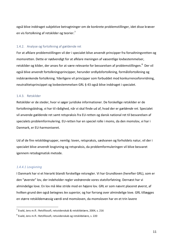også blive inddraget subjektive betragtninger om de konkrete problemstillinger, idet disse kræver en vis fortolkning af retskilder og teorier.<sup>7</sup>

#### 1.4.2. Analyse og fortolkning af gældende ret

For at afklare problemstillingen vil der i specialet blive anvendt principper fra forvaltningsretten og momsretten. Dette er nødvendigt for at afklare meningen af væsentlige lovbestemmelser, retskilder og kilder, der anses for at være relevante for besvarelsen af problemstillingen. $^8$  Der vil også blive anvendt fortolkningsprincipper, herunder ordlydsfortolkning, formålsfortolkning og indskrænkende fortolkning. Yderligere vil principper som forbuddet mod konkurrenceforvridning, neutralitetsprincippet og lovbestemmelsen GRL § 43 også blive inddraget i specialet.

#### 1.4.3. Retskilder

Retskilder er de steder, hvor vi søger juridiske informationer. De forskellige retskilder er de fortolkningsbidrag, vi har til rådighed, når vi skal finde ud af, hvad der er *gældende ret*. Specialet vil anvende gældende ret samt retspraksis fra EU-retten og dansk national ret til besvarelsen af specialets problemformulering. EU-retten har en speciel rolle i moms, da den momslov, vi har i Danmark, er EU-harmoniseret.

Ud af de fire retskildegrupper, nemlig: loven, retspraksis, sædvanen og forholdets natur, vil der i specialet blive anvendt lovgivning og retspraksis, da problemformuleringen vil blive besvaret igennem retsdogmatisk metode.

#### *1.4.4.1 Lovgivning*

I Danmark har vi et hierarki blandt forskellige retsregler. Vi har Grundloven (herefter GRL), som er den "øverste" lov, der indeholder regler vedrørende vores statsforfatning. Dernæst har vi almindelige love. En lov må ikke stride mod en højere lov. GRL er som nævnt placeret øverst, af hvilken grund den også betegnes *lex superior*, og har forrang over almindelige love. GRL tillægges en større retskildemæssig værdi end momsloven, da momsloven har en et trin lavere

 $3$  Evald, Jens m.fl.: Retsfilosofi, retsvidenskab & retskildelære, 2004, s. 216

 $8$  Evald, Jens m.fl.: Retsfilosofi, retsvidenskab og retskildelære, s. 220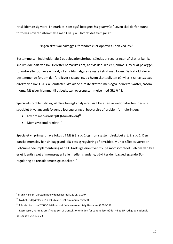retskildemæssig værdi i hierarkiet, som også betegnes lex generalis.<sup>9</sup> Loven skal derfor kunne fortolkes i overensstemmelse med GRL § 43, hvoraf det fremgår at:

"ingen skat skal pålægges, forandres eller ophæves uden ved lov."

Bestemmelsen indeholder altså et delegationsforbud, således at reguleringen af skatter kun kan ske umiddelbart ved lov. Herefter bemærkes det, at hvis der ikke er hjemmel i lov til at pålægge, forandre eller ophæve en skat, vil en sådan afgørelse være i strid med loven. De forhold, der er bestemmende for, om der foreligger skattepligt, og hvem skattepligten påhviler, skal fastsættes direkte ved lov. GRL § 43 omfatter ikke alene direkte skatter, men også indirekte skatter, såsom moms. ML giver hjemmel til at beskatte i overensstemmelse med GRL § 43.

Specialets problemstilling vil blive forsøgt analyseret via EU-retten og nationalretten. Der vil i specialet blive anvendt følgende lovregulering til besvarelse af problemformuleringen:

- Lov om merværdiafgift (Momsloven) $^{10}$
- $\bullet$  Momssystemdirektivet $^{11}$

Specialet vil primært have fokus på ML § 3, stk. 1 og momssystemdirektivet art. 9, stk. 1. Den danske momslov har sin baggrund i EU-retslig regulering af området. ML har således været en udtømmende implementering af de EU-retslige direktiver mv. på momsområdet. Selvom der ikke er et identisk sæt af momsregler i alle medlemslandene, påvirker den bagvedliggende EUregulering de retskildemæssige aspekter.<sup>12</sup>

 $9$  Munk Hansen, Carsten: Retsvidenskabsteori, 2018, s. 270

 $10$  Lovbekendtgørelse 2019-09-26 nr. 1021 om merværdiafgift

 $11$  Rådets direktiv af 2006-11-28 om det fælles merværdiafgiftssystem (2006/112)

 $12$  Rasmussen, Karin: Momsfritagelsen af transaktioner inden for sundhedsområdet – i et EU-retligt og nationalt perspektiv, 2013, s. 23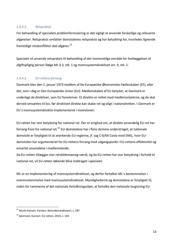#### *1.4.4.2. Retspraksis*

For behandling af specialets problemformulering er det vigtigt at anvende forskellige og relevante afgørelser. Retspraksis omfatter domstolenes retspraksis og har betydning for, hvorledes lignende fremtidige retskonflikter skal afgøres. $^{13}$ 

Specialet vil anvende retspraksis til behandling af det momsretlige område for fastlæggelsen af afgiftspligtig person ifølge ML § 3, stk. 1 og momssystemdirektivet art. 9, stk. 1.

#### 1.4.4.3. **EU-rettens forrang**

Danmark blev den 1. januar 1973 medlem af De Europæiske Økonomiske Fællesskaber (EF), eller det, som i dag er Den Europæiske Union (EU). Medlemskabet af EU betyder, at Danmark er underlagt de direktiver, som EU foreskriver. Et direktiv er rettet mod medlemsstaterne, og de skal derved omsættes til lov, før direktivet direkte kan skabe ret og pligt i nationalretten. I Danmark er EU's momssystemdirektiv implementeret i momsloven.

EU-retten har stor betydning for national ret. Der er enighed om, at direkte anvendelig EU-ret har forrang frem for national ret.<sup>14</sup> EU-domstolene har i flere domme understreget, at nationale domstole er forpligtet til at anerkende EU-reglerne, jf. sag C-6/64 Costa mod ENEL, hvor EUdomstolen har argumenteret for EU-rettens forrang med udgangspunkt i EU-rettens effektivitet og ensartet anvendelse i medlemslande.

Da EU-retten tillægges stor retskildemæssig værdi, og da EU-retten har stor betydning i forhold til national ret, vil EU-retten løbende blive inddraget i specialet.

ML er en implementering af momssystemdirektivet, og derfor fortolkes ML's bestemmelser i overensstemmelse med momssystemdirektivet. Myndighederne og domstolene er forpligtet til, inden for rammerne af det nationale fortolkningsskøn, at fortolke den nationale lovgivning EU-

<sup>&</sup>lt;sup>13</sup> Munk-Hansen, Carsten: Retsvidenskabsteori, s. 287

 $14$  Sørensen, Karsten: EU-retten, 2010, s. 169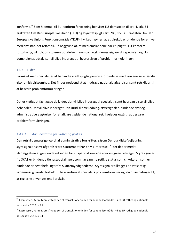konformt.<sup>15</sup> Som hjemmel til EU-konform fortolkning henviser EU-domstolen til art. 4, stk. 3 i Traktaten Om Den Europæiske Union (TEU) og loyalitetspligt i art. 288, stk. 3 i Traktaten Om Den Europæiske Unions Funktionsområde (TEUF), hvilket nævner, at et direktiv er bindende for enhver medlemsstat, det rettes til. På baggrund af, at medlemslandene har en pligt til EU-konform fortolkning, vil EU-domstolenes udtalelser have stor retskildemæssig værdi i specialet, og EUdomstolenes udtalelser vil blive inddraget til besvarelsen af problemformuleringen.

#### 1.4.4. Kilder

Formålet med specialet er at behandle afgiftspligtig person i forbindelse med kravene selvstændig økonomisk virksomhed. Det findes nødvendigt at inddrage nationale afgørelser samt retskilder til at besvare problemformuleringen.

Det er vigtigt at fastlægge de kilder, der vil blive inddraget i specialet, samt hvordan disse vil blive behandlet. Der vil blive inddraget Den Juridiske Vejledning, styresignaler, bindende svar og administrative afgørelser for at afklare gældende national ret, ligeledes også til at besvare problemformuleringen.

#### 1.4.4.1. Administrative forskrifter og praksis

Den retskildemæssige værdi af administrative forskrifter, såsom Den Juridiske Vejledning, styresignaler samt afgørelser fra Skatterådet har en vis interesse,<sup>16</sup> idet det er med til klarlæggelsen af gældende ret inden for et specifikt område eller en given retsregel. Styresignaler fra SKAT er bindende tjenestebefalinger, som har samme retlige status som cirkulærer, som er bindende tjenestebefalinger fra Skattemyndighederne. Styresignaler tillægges en væsentlig kildemæssig værdi i forhold til besvarelsen af specialets problemformulering, da disse bidrager til, at reglerne anvendes ens i praksis.

 $15$  Rasmussen, Karin: Momsfritagelsen af transaktioner inden for sundhedsområdet – i et EU-retligt og nationalt perspektiv, 2013, s. 25

 $16$  Rasmussen, Karin: Momsfritagelsen af transaktioner inden for sundhedsområdet – i et EU-retligt og nationalt perspektiv, 2013, s. 34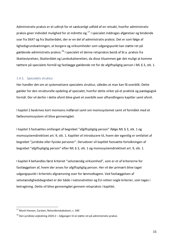Administrativ praksis er et udtryk for et sædvanligt udfald af en retsakt, hvorfor administrativ praksis giver individet mulighed for at indrette sig.<sup>17</sup> I specialet inddrages afgørelser og bindende svar fra SKAT og fra Skatterådet, der er en del af administrativ praksis. Det er som følge af lighedsgrundsætningen, at borgere og virksomheder som udgangspunkt kan støtte ret på gældende administrativ praksis.<sup>18</sup> I specialet vil denne retspraksis bestå af bl.a. praksis fra Skattestyrelsen, Skatterådet og Landsskatteretten, da disse tilsammen gør det muligt at komme tættere på specialets formål og fastlægge gældende ret for de afgiftspligtig person i ML § 3, stk. 1.

#### 1.4.5. Specialets struktur

Her handler det om at systematisere specialets struktur, således at man kan få overblik. Dette gælder for den strukturelle opdeling af specialet, hvorfor dette virker på et praktisk og pædagogisk formål. Der vil derfor i dette afsnit blive givet et overblik over afhandlingens kapitler samt afsnit.

I kapitel 2 beskrives kort momsens indførsel samt om momssystemet samt vil formålet med et fællesmomssystem vil blive gennemgået.

I kapitel 3 fastsættes omfanget af begrebet "afgiftspligtig person" ifølge ML § 3, stk. 1 og momssystemdirektivet art. 9, stk. 1. Kapitlet vil introducere til, hvem der egentlig er omfattet af begrebet "juridiske eller fysiske personer". Derudover vil kapitlet fastsætte fortolkningen af begrebet "afgiftspligtig person" efter ML § 3, stk. 1 og momssystemdirektivet art. 9, stk. 1.

I kapitel 4 behandles først kriteriet "selvstændig virksomhed", som er et af kriterierne for fastlæggelsen af, hvem der anses for afgiftspligtig person. Her vil der primært blive taget udgangspunkt i kriteriets afgrænsning over for lønmodtagere. Ved fastlæggelsen af selvstændighedsbegrebet er der både i nationalretten og EU-retten nogle kriterier, som tages i betragtning. Dette vil blive gennemgået gennem retspraksis i kapitlet.

<sup>&</sup>lt;sup>17</sup> Munk Hansen, Carsten, Retsvidenskabsteori, s. 340

 $18$  Den juridiske vejledning 2020-2 – Adgangen til at støtte ret på administrativ praksis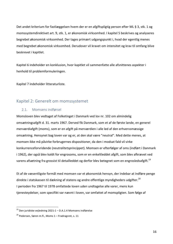Det andet kriterium for fastlæggelsen hvem der er en afgiftspligtig person efter ML § 3, stk. 1 og momssystemdirektivet art. 9, stk. 1, er økonomisk virksomhed. I kapitel 5 beskrives og analyseres begrebet økonomisk virksomhed. Der tages primært udgangspunkt i, hvad der egentlig menes med begrebet økonomisk virksomhed. Derudover vil kravet om intensitet og krav til omfang blive beskrevet i kapitlet.

Kapitel 6 indeholder en konklusion, hvor kapitlet vil sammenfatte alle afsnittenes aspekter i henhold til problemformuleringen.

Kapitel 7 indeholder litteraturliste.

## Kapitel 2: Generelt om momssystemet

#### 2.1. Momsens indførsel

Momsloven blev vedtaget af Folketinget i Danmark ved lov nr. 102 om almindelig omsætningsafgift d. 31. marts 1967. Derved fik Danmark, som et af de første lande, en generel merværdiafgift (moms), som er en afgift på merværdien i alle led af den erhvervsmæssige omsætning. Hensynet bag loven var og er, at den skal være "neutral". Med dette menes, at momsen ikke må påvirke forbrugernes dispositioner, da den i modsat fald vil virke konkurrenceforvridende (*neutralitetsprincippet*). Momsen er efterfølger af oms (indført i Danmark i 1962), der også blev kaldt for engrosoms, som er en enkeltleddet afgift, som blev afkrævet ved varens afsætning fra grossist til detailleddet og derfor blev betegnet som en engrosledsafgift.<sup>19</sup>

Et af de væsentligste formål med momsen var et økonomisk hensyn, der indebar at indføre penge direkte i statskassen til dækning af statens og andre offentlige myndigheders udgifter.<sup>20</sup> I perioden fra 1967 til 1978 omfattede loven uden undtagelse alle varer, mens kun tjenesteydelser, som specifikt var nævnt i loven, var omfattet af momspligten. Som følge af

 $19$  Den juridiske veiledning 2021-1 – D.A.1.4 Momsens indførelse

 $20$  Pedersen, Søren m.fl., Moms 1 – Fradragsret, s. 11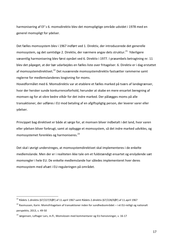harmonisering af EF's 6. momsdirektiv blev det momspligtige område udvidet i 1978 med en generel momspligt for ydelser.

Det fælles momssystem blev i 1967 indført ved 1. Direktiv, der introducerede det generelle momssystem, og det samtidige 2. Direktiv, der nærmere angav dets struktur.<sup>21</sup> Yderligere væsentlig harmonisering blev først opnået ved 6. Direktiv i 1977. I præambels betragtning nr. 11 blev det påpeget, at der bør udarbejdes en fælles liste over fritagelser. 6. Direktiv er i dag erstattet af momssystemdirektivet.<sup>22</sup> Det nuværende momssystemdirektiv fastsætter rammerne samt reglerne for medlemslandenes lovgivning for moms.

Hovedformålet med 6. Momsdirektiv var at etablere et fælles marked på tværs af landegrænser, hvor der hersker sunde konkurrenceforhold, herunder at skabe en mere ensartet beregning af momsen og for at sikre bedre vilkår for det indre marked. Der pålægges moms på alle transaktioner, der udføres i EU mod betaling af en afgiftspligtig person, der leverer varer eller ydelser. 

Princippet bag direktivet er både at sørge for, at momsen bliver indbetalt i det land, hvor varen eller ydelsen bliver forbrugt, samt at opbygge et momssystem, så det indre marked udvikles, og momssystemet forenkles og harmoniseres.<sup>23</sup>

Det skal i øvrigt understreges, at momssystemdirektivet skal implementeres i de enkelte medlemslande. Men der er i realiteten ikke tale om et fuldstændigt ensartet og enslydende sæt momsregler i hele EU. De enkelte medlemslande har således implementeret hver deres momssystem med afsæt i EU-reguleringen på området.

<sup>&</sup>lt;sup>21</sup> Rådets 1.direktiv (67/227/EØF) af 11.april 1967 samt Rådets 2.direktiv (67/228/EØF) af 11.april 1967

 $^{22}$  Rasmussen, Karin: Momsfritagelsen af transaktioner inden for sundhedsområdet – i et EU-retligt og nationalt perspektiv, 2013, s. 49-50

 $^{23}$  Jørgensen, Loftager Lars, m.fl., Momsloven med kommentarer og EU-henvisninger, s. 16-17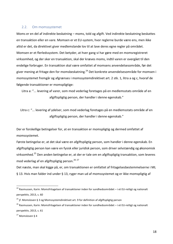#### 2.2. Om momssystemet

Moms er en del af indirekte beskatning – moms, told og afgift. Ved indirekte beskatning beskattes en transaktion eller en vare. Momsen er et EU-system, hvor reglerne burde være ens, men ikke altid er det, da direktivet giver medlemslande lov til at lave deres egne regler på området. Momsen er et flerledssystem. Det betyder, at hver gang vi har gøre med en momsregistreret virksomhed, og der sker en transaktion, skal der kræves moms, indtil varen er overgået til den endelige forbruger. En transaktion skal være omfattet af momsens anvendelsesområde, før det giver mening at fritage den for momsbeskatning.<sup>24</sup> Det konkrete anvendelsesområde for momsen i momssystemet fremgår og afgrænses i momssystemdirektivet art. 2 stk. 1, litra a og c, hvoraf de følgende transaktioner er momspligtige:

Litra a: "... levering af varer, som mod vederlag foretages på en medlemsstats område af en afgiftspligtig person, der handler i denne egenskab."

Litra c: "... levering af ydelser, som mod vederlag foretages på en medlemsstats område af en afgiftspligtig person, der handler i denne egenskab."

Der er forskellige betingelser for, at en transaktion er momspligtig og dermed omfattet af momssystemet. 

Første betingelse er, at det skal være en afgiftspligtig person, som handler i denne egenskab. En afgiftspligtig person kan være en fysisk eller juridisk person, som driver selvstændig og økonomisk virksomhed.<sup>25</sup> Den anden betingelse er, at der er tale om en afgiftspligtig transaktion, som leveres mod vederlag af en afgiftspligtig person.<sup>26 27</sup>

Det næste, man skal kigge på, er, om transaktionen er omfattet af fritagelsesbestemmelserne i ML § 13. Hvis man falder ind under § 13, ryger man ud af momssystemet og er ikke momspligtig af

 $24$  Rasmussen, Karin: Momsfritagelsen af transaktioner inden for sundhedsområdet – i et EU-retligt og nationalt perspektiv, 2013, s. 60

<sup>&</sup>lt;sup>25</sup> jf. Momsloven § 3 og Momssystemdirektivet art. 9 for definition af afgiftspligtig person

 $^{26}$  Rasmussen, Karin: Momsfritagelsen af transaktioner inden for sundhedsområdet – i et EU-retligt og nationalt perspektiv, 2013, s. 61

 $27$  Momsloven § 4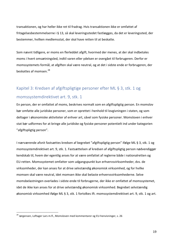transaktionen, og har heller ikke ret til fradrag. Hvis transaktionen ikke er omfattet af fritagelsesbestemmelserne i § 13, så skal leveringsstedet fastlægges, da det er leveringssted, der bestemmer, hvilken medlemsstat, der skal have retten til at beskatte.

Som nævnt tidligere, er moms en flerleddet afgift, hvormed der menes, at der skal indbetales moms i hvert omsætningsled, indtil varen eller ydelsen er overgået til forbrugeren. Derfor er momssystemets formål, at afgiften skal være neutral, og at det i sidste ende er forbrugeren, der beskattes af momsen.<sup>28</sup>

# Kapitel 3: Kredsen af afgiftspligtige personer efter ML § 3, stk. 1 og momssystemdirektivet art. 9, stk. 1

En person, der er omfattet af moms, beskrives normalt som en afgiftspligtig person. En momslov bør omfatte alle juridiske personer, som er oprettet i henhold til lovgivningen i staten, og som deltager i økonomiske aktiviteter af enhver art, såvel som fysiske personer. Momsloven i enhver stat bør udformes for at bringe alle juridiske og fysiske personer potentielt ind under kategorien "afgiftspligtig person".

I nærværende afsnit fastsættes kredsen af begrebet "afgiftspligtig person" ifølge ML § 3, stk. 1 og momssystemdirektivet art. 9, stk. 1. Fastsættelsen af kredsen af afgiftspligtig person nødvendiggør kendskab til, hvem der egentlig anses for at være omfattet af reglerne både i nationalretten og EU-retten. Momssystemet omfatter som udgangspunkt kun erhvervsvirksomheder, dvs. de virksomheder, der kan anses for at drive selvstændig økonomisk virksomhed, og for hvilke momsen skal være neutral, idet momsen ikke skal belaste erhvervsvirksomhederne. Selve momsbelastningen overlades i sidste ende til forbrugerne, der ikke er omfattet af momssystemet, idet de ikke kan anses for at drive selvstændig økonomisk virksomhed. Begrebet selvstændig økonomisk virksomhed ifølge ML § 3, stk. 1 fortolkes ift. momssystemdirektivet art. 9, stk. 1 og art.

 $^{28}$  Jørgensen, Loftager Lars m.fl., Momsloven med kommentarer og EU-henvisninger, s. 26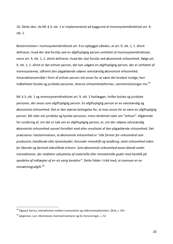10. Dette sker, da ML § 3, stk. 1 er implementeret på baggrund af momssystemdirektivet art. 9, stk. 1.

Bestemmelsen i momssystemdirektivet art. 9 er opbygget således, at art. 9, stk. 1, 1. afsnit definerer, hvad der skal forstås ved en afgiftspligtig person omfattet af momssystemdirektivet, mens art. 9, stk. 1, 2. afsnit definerer, hvad der skal forstås ved økonomisk virksomhed. Ifølge art. 9, stk. 1, 1. afsnit er det enhver person, der kan udgøre en afgiftspligtig person, der er omfattet af momssystemet, såfremt den pågældende udøver selvstændig økonomisk virksomhed. Anvendelsesområde i form af enhver person må anses for at være det bredest mulige, heri indbefattet fysiske og juridiske personer, diverse virksomhedsformer, sammenslutninger mv.<sup>29</sup>

ML § 3, stk. 1 og momssystemdirektivet art. 9, stk. 1 fastlægger, hvilke fysiske og juridiske personer, der anses som afgiftspligtig person. En afgiftspligtig person er en selvstændig og økonomisk virksomhed. Det er den største betingelse for, at man anses for at være en afgiftspligtig person. ML taler om juridiske og fysiske personer, mens direktivet taler om "enhver". Afgørende for vurdering af, om der er tale om en afgiftspligtig person, er, om der udøves selvstændig økonomisk virksomhed uanset formålet med eller resultatet af den pågældende virksomhed. Det præciseres i bestemmelsen, at økonomisk virksomhed er "alle former for virksomhed som *producent, handlende eller tjenesteyder, herunder minedrift og landbrug, samt virksomhed inden*  for liberale og dermed sidestillede erhverv. Som økonomisk virksomhed anses blandt andet transaktioner, der omfatter udnyttelse af materielle eller immaterielle goder med henblik på *opnåelse af indtægter af en vis varig karakter"*. Dette falder i tråd med, at momsen er en omsætningsafgift.<sup>30</sup>

 $29$  Elgaard, Karina, Interaktionen mellem momsretten og indkomstskatteretten, 2016, s. 245

 $30$  Jørgensen, Lars: Momsloven med kommentarer og EU-henvisninger, s. 52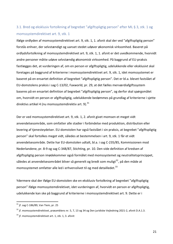## 3.1. Bred og eksklusiv fortolkning af begrebet "afgiftspligtig person" efter ML § 3, stk. 1 og momssystemdirektivet art. 9, stk. 1

Ifølge ordlyden af momssystemdirektivet art. 9, stk. 1, 1. afsnit skal der ved "afgiftspligtig person" forstås enhver, der selvstændigt og uanset stedet udøver økonomisk virksomhed. Baseret på ordlydsfortolkning af momssystemdirektivet art. 9, stk. 1, 1. afsnit er det uvedkommende, hvorvidt andre personer måtte udøve selvstændig økonomisk virksomhed. På baggrund af EU-praksis fastlægges det, at vurderingen af, om en person er afgiftspligtig, udelukkende eller eksklusivt skal foretages på baggrund af kriterierne i momssystemdirektivet art. 9, stk. 1, idet momssystemet er baseret på en ensartet definition af begrebet "afgiftspligtig person". Det er bl.a. blevet fastslået af EU-domstolens praksis i sag C-13/02, Faxworld, pr. 29, at det fælles merværdiafgiftssystem baseres på en ensartet definition af begrebet "afgiftspligtig person", og derfor skal spørgsmålet om, hvorvidt en person er afgiftspligtig, udelukkende bedømmes på grundlag af kriterierne i sjette direktivs artikel 4 (nu momssystemdirektiv art. 9).<sup>31</sup>

Der er ved momssystemdirektivet art. 9, stk. 1, 2. afsnit givet momsen et meget vidt anvendelsesområde, som omfatter alle stadier i forbindelse med produktion, distribution eller levering af tjenesteydelser. EU-domstolen har også fastslået i sin praksis, at begrebet "afgiftspligtig person" skal fortolkes meget vidt, således at bestemmelsen i art. 9, stk. 1 får et vidt anvendelsesområde. Dette har EU-domstolen udtalt, bl.a. i sag C-235/85, Kommissionen mod Nederlandene, pr. 8-9 og sag C-348/87, Stichting, pr. 10. Den vide definition af kredsen af afgiftspligtig person imødekommer også formålet med momssystemet og neutralitetsprincippet, således at anvendelsesområdet bliver så generelt og bredt som muligt<sup>32</sup>, på den måde at momssystemet omfatter alle led i erhvervslivet til og med detailledet.<sup>33</sup>

Ydermere skal der ifølge EU-domstolen ske en eksklusiv fortolkning af begrebet "afgiftspligtig person" ifølge momssystemdirektivet, idet vurderingen af, hvorvidt en person er afgiftspligtig, udelukkende kan ske på baggrund af kriterierne i momssystemdirektivet art. 9. Dette er i

 $31$  jf. sag C-186/89, Van Tiem, pr. 25

 $32$  if. momssystemdirektivet, præamblens nr. 5, 7, 13 og 34 og Den juridiske Vejledning 2021-2, afsnit D.A.1.3.

 $33$  jf. momssystemdirektivet art. 1, stk. 1, 3. afsnit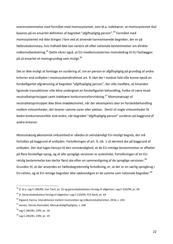overensstemmelse med formålet med momssystemet, som bl.a. indebærer, at momssystemet skal baseres på en ensartet definition af begrebet "afgiftspligtig person".<sup>34</sup> Formålet med momssystemet må ikke bringes i fare ved at anvende harmoniserede begreber, der er på fællesskabsniveau, hvis indhold ikke kan variere alt efter nationale bestemmelser om direkte indkomstbeskatning.<sup>35</sup> Dette sikrer også, at EU-medlemsstaternes momsbidrag til EU fastlægges på så ensartet et momsgrundlag som muligt.<sup>36</sup>

Det er ikke muligt at foretage en vurdering af, om en person er afgiftspligtig på grundlag af andre kriterier end ordlyden i momssystemdirektivet art. 9, idet der i modsat fald ville kunne opstå en forskelligartet afgrænsning af begrebet "afgiftspligtig person", der ville medføre, at hinanden lignende transaktioner ville blive undergivet en forskelligartet behandling, hvilke vil være imod neutralitetsprincippet samt indebære konkurrenceforvridning.<sup>37</sup> Momsmæssigt vil neutralitetsprincippet ikke blive imødekommet, når der eksempelvis sker en forskelsbehandling mellem virksomheder, der leverer samme varer eller ydelser. Dertil vil nogle virksomheder få bedre konkurrencevilkår end andre, når begrebet "afgiftspligtig person" vurderes på baggrund af andre kriterier.

Momsmæssig økonomisk virksomhed er således et selvstændigt EU-retsligt begreb, der må fortolkes på baggrund af ordlyden. Fortolkningen af art. 9, stk. 1 vil dermed ske på baggrund af ordlyden. Der skal tages hensyn til den omstændighed, at de EU-retslige bestemmelser er affattet på flere forskellige sprog, og at alle sproglige versioner er autentiske. Fortolkningen af en EUretslig bestemmelse kan derfor først ske efter en sammenligning af de sproglige versioner.<sup>38</sup> Grunden til, at der anvendes en fællesbegrebsretlig fortolkning, er, at der er en særlig sprogbrug i EU-retten, og at EU-retslige begreber ikke nødvendigvis er de samme som nationale begreber.<sup>39</sup>

 $34$  jf. bl.a. sag C-186/89, Van Tiem, pr. 25 og generaladvokatens forslag til afgørelse i sag C-210/04, pr. 64

 $35$  jf. Generaladvokatens forslag til afgørelse i sag C-210/04, FCE Bank, pr. 64

 $36$  Elgaard, Karina, Interaktionen mellem momsretten og indkomstskatteretten, 2016, s. 243

 $37$  Jensen, Dennis Ramsdahl, Merværdiafgiftspligten, s. 268

 $38$  sag C-283/81, Cilfit, pr. 18

 $39$  sag C-283/81, Cilfit, pr. 19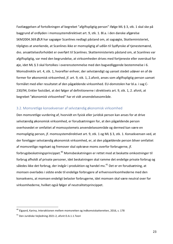Fastlæggelsen af fortolkningen af begrebet "afgiftspligtig person" ifølge ML § 3, stk. 1 skal ske på baggrund af ordlyden i momssystemdirektivet art. 9, stk. 1. Bl.a. i den danske afgørelse SKM2004.369.ØLR har sagsøger Scanlines nedlagt påstand om, at sagsøgte, Skatteministeriet, tilpligtes at anerkende, at Scanlines ikke er momspligtig af udlån til Sydfynske af tjenestemænd, dvs. ansættelsesforholdet er overført til Scanlines. Skatteministeriets påstand om, at Scanlines var afgiftspligtig, var med den begrundelse, at virksomheden drives med fortjeneste eller overskud for  $\varphi$ je, idet ML § 3 skal fortolkes i overensstemmelse med den bagvedliggende bestemmelse i 6. Momsdirektiv art. 4, stk. 1, hvorefter enhver, der selvstændigt og uanset stedet udøver en af de former for økonomisk virksomhed, jf. art. 9, stk. 1, 2.afsnit, anses som afgiftspligtig person uanset formålet med eller resultatet af den pågældende virksomhed. EU-domstolen har bl.a. i sag C-230/94, Enkler fastslået, at det følger af definitionerne i direktivets art. 9, stk. 1, 2. afsnit, at begrebet "økonomisk virksomhed" har et vidt anvendelsesområde.

#### 3.2. Momsretlige konsekvenser af selvstændig økonomisk virksomhed

Den momsretlige vurdering af, hvorvidt en fysisk eller juridisk person kan anses for at drive selvstændig økonomisk virksomhed, er forudsætningen for, at den pågældende person overhovedet er omfattet af momssystemets anvendelsesområde og dermed kan være en momspligtig person, jf. momssystemdirektivet art. 9, stk. 1 og ML § 3, stk. 1. Konsekvensen ved, at der foreligger selvstændig økonomisk virksomhed, er, at den pågældende person bliver omfattet af momsretlige regelsæt og fremover skal opkræve moms overfor forbrugerne, jf. forbrugsbeskatningsprincippet.<sup>40</sup> Momsbeskatningen er rettet mod at beskatte omkostninger til forbrug afholdt af private personer, idet beskatningen skal ramme det endelige private forbrug og således ikke det forbrug, der indgår i produktion og handel mv.<sup>41</sup> Det er en forudsætning, at momsen overlades i sidste ende til endelige forbrugere af erhvervsvirksomhederne med den konsekvens, at momsen endeligt belaster forbrugerne, idet momsen skal være neutral over for virksomhederne, hvilket også følger af neutralitetsprincippet.

 $^{40}$  Elgaard, Karina, Interaktionen mellem momsretten og indkomstskatteretten, 2016, s. 178

<sup>&</sup>lt;sup>41</sup> Den Juridiske Vejledning 2021-2, afsnit D.A.1.1.Teori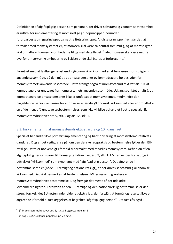Definitionen af afgiftspligtig person som personer, der driver selvstændig økonomisk virksomhed, er udtryk for implementering af momsretlige grundprincipper, herunder forbrugsbeskatningsprincippet og neutralitetsprincippet. Af disse principper fremgår det, at formålet med momssystemet er, at momsen skal være så neutral som mulig, og at momspligten skal omfatte erhvervsvirksomhederne til og med detailledet<sup>42</sup>, idet momsen skal være neutral overfor erhvervsvirksomhederne og i sidste ende skal bæres af forbrugerne.<sup>43</sup>

Formålet med at fastlægge selvstændig økonomisk virksomhed er at begrænse momspligtens anvendelsesområde, på den måde at private personer og lønmodtagere holdes uden for momssystemets anvendelsesområde. Dette fremgår også af momssystemdirektivet art. 10, at lønmodtagere er undtaget fra momssystemets anvendelsesområde. Udgangspunktet er altså, at lønmodtagere og private personer ikke er omfattet af momssystemet, medmindre den pågældende person kan anses for at drive selvstændig økonomisk virksomhed eller er omfattet af en af de meget få undtagelsesbestemmelser, som ikke vil blive behandlet i dette speciale, jf. momssystemdirektivet art. 9, stk. 2 og art 12, stk. 1.

#### 3.3. Implementering af momssystemdirektivet art. 9 og 10 i dansk ret

Specialet behandler ikke primært implementering og harmonisering af momssystemdirektivet i dansk ret. Dog er det vigtigt at se på, om den danske retspraksis og bestemmelse følger den EUretslige. Dette er nødvendigt i forhold til formålet med et fælles momssystem. Definition af en afgiftspligtig person svarer til momssystemdirektivet art. 9, stk. 1. I ML anvendes fortsat også udtrykket "virksomhed" som synonymt med "afgiftspligtig person". Det afgørende i bestemmelserne er (både EU-retsligt og nationalretsligt), at der drives selvstændig økonomisk virksomhed. Det skal bemærkes, at bestemmelsen i ML er væsentlig kortere end momssystemdirektivet bestemmelse. Dog fremgår det meste af det udeladte i lovbemærkningerne. I ordlyden af den EU-retslige og den nationalretslig bestemmelse er der streng forskel, idet EU-retten indeholder et ekstra led, der fastslår, at formål og resultat ikke er afgørende i forhold til fastlæggelsen af begrebet "afgiftspligtig person". Det fastslås også i

 $42$  if. Momssystemdirektivet art. 1, stk. 2-3 og præambel nr. 5

 $43$  jf. Sag C-475/03 Banca popolare, pr. 22 og 28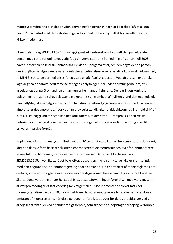momssystemdirektivet, at det er uden betydning for afgrænsningen af begrebet "afgiftspligtig person", på hvilket sted den selvstændige virksomhed udøves, og hvilket formål eller resultat virksomheden har.

Eksempelvis i sag SKM2013.52.VLR var spørgsmålet centreret om, hvorvidt den pågældende person med rette var opkrævet ølafgift og erhvervelsesmoms i anledning af, at han i juli 2008 havde indført en palle øl til Danmark fra Tyskland. Spørgsmålet er, om den pågældende person, der indkøbte de pågældende varer, omfattes af betingelserne selvstændig økonomisk virksomhed, if. ML § 3, stk. 1, og dermed anses for at være en afgiftspligtig person. Ved afgørelsen er der bl.a. lagt vægt på en samlet bedømmelse af sagens oplysninger, herunder oplysningerne om, at A arbejder og bor på Grønland, og at han kun er her i landet i sin ferie. Der var ingen konkrete oplysninger om at han drev selvstændig økonomisk virksomhed, af hvilken grund den mængde øl, han indførte, ikke var afgørende for, om han drev selvstændig økonomisk virksomhed. For sagens afgørelse er det afgørende, hvorvidt han drev selvstændig økonomisk virksomhed i forhold til ML § 3, stk. 1. På baggrund af sagen kan det konkluderes, at der efter EU-retspraksis er en række kriterier, som man skal tage hensyn til ved vurderingen af, om varer er til privat brug eller til erhvervsmæssige formål.

Implementering af momssystemdirektivet art. 10 synes at være korrekt implementeret i dansk ret, idet den danske forståelse af selvstændighedsbegrebet og afgrænsningen over for lønmodtagere svarer fuldt ud til momssystemdirektivet bestemmelser. Dette kan bl.a. læses i sag SKM2013.26.SR, hvor Skatterådet bekræfter, at spørgers hverv som værge ikke er momspligtigt med den begrundelse, at lønmodtagere og andre personer ikke er omfattet af momsreglerne i det omfang, at de er forpligtede over for deres arbejdsgiver med henvisning til praksis fra EU-retten. I Skatterådets vurdering er der henset til bl.a., at statsforvaltningen fører tilsyn med værgen, samt at værgen modtager et fast vederlag for værgemålet. Disse momenter er blevet fastslået i momssystemdirektivet art. 10, hvoraf det fremgår, at lønmodtagere eller andre personer ikke er omfattet af momsreglerne, når disse personer er forpligtede over for deres arbejdsgiver ved en arbejdskontrakt eller ved et andet retligt forhold, som skaber et arbejdstager-arbejdsgiverforhold.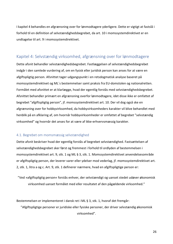I kapitel 4 behandles en afgrænsning over for lønmodtagere yderligere. Dette er vigtigt at fastslå i forhold til en definition af selvstændighedsbegrebet, da art. 10 i momssystemdirektivet er en undtagelse til art. 9 i momssystemdirektivet.

## Kapitel 4: Selvstændig virksomhed, afgrænsning over for lønmodtagere

Dette afsnit behandler selvstændighedsbegrebet. Fastlæggelsen af selvstændighedsbegrebet indgår i den samlede vurdering af, om en fysisk eller juridisk person kan anses for at være en afgiftspligtig person. Afsnittet tager udgangspunkt i en retsdogmatisk analyse baseret på momssystemdirektivet og ML's bestemmelser samt praksis fra EU-domstolen og nationalretten. Formålet med afsnittet er at klarlægge, hvad der egentlig forstås med selvstændighedsbegrebet. Afsnittet behandler primært en afgrænsning overfor lønmodtagere, idet disse ikke er omfattet af begrebet "afgiftspligtig person", jf. momssystemdirektivet art. 10. Der vil dog også ske en afgrænsning over for hobbyvirksomhed, da hobbyvirksomheders karakter vil blive behandlet med henblik på en afklaring af, om hvornår hobbyvirksomheder er omfattet af begrebet "selvstændig virksomhed" og hvornår det anses for at være af ikke-erhvervsmæssig karakter.

#### 4.1. Begrebet om momsmæssig selvstændighed

Dette afsnit beskriver hvad der egentlig forstås af begrebet selvstændighed. Fastsættelsen af selvstændighedsbegrebet sker først og fremmest i forhold til ordlyden af bestemmelsen i momssystemdirektivet art. 9, stk. 1 og ML § 3, stk. 1. Momssystemdirektivet anvendelsesområde er afgiftspligtig person, der leverer varer eller ydelser mod vederlag, jf. momssystemdirektivet art. 2, stk. 1, litra a og c. Art. 9, stk. 1 definerer nærmere, hvad en afgiftspligtige person er:

"Ved »afgiftspligtig person« forstås enhver, der selvstændigt og uanset stedet udøver økonomisk virksomhed uanset formålet med eller resultatet af den pågældende virksomhed."

Bestemmelsen er implementeret i dansk ret i ML § 3, stk. 1, hvoraf det fremgår:

"Afgiftspligtige personer er juridiske eller fysiske personer, der driver selvstændig økonomisk virksomhed".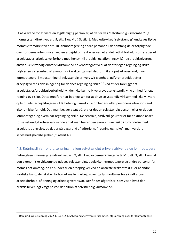Et af kravene for at være en afgiftspligtig person er, at der drives "selvstændig virksomhed", jf. momssystemdirektivet art. 9, stk. 1 og ML § 3, stk. 1. Med udtrykket "selvstændig" undtages ifølge momssystemdirektivet art. 10 lønmodtagere og andre personer, i det omfang de er forpligtede over for deres arbeidsgiver ved en arbeidskontrakt eller ved et andet retligt forhold, som skaber et arbejdstager-arbejdsgiverforhold med hensyn til arbejds- og aflønningsvilkår og arbejdsgiverens ansvar. Selvstændig erhvervsvirksomhed er kendetegnet ved, at der for egen regning og risiko udøves en virksomhed af økonomisk karakter og med det formål at opnå et overskud, hvor lønmodtagere, i modsætning til selvstændig erhvervsvirksomhed, udfører arbejdet efter arbejdsgiverens anvisninger og for dennes regning og risiko.<sup>44</sup> Ved at der foreligger et arbejdstager/arbejdsgiverforhold, vil der ikke kunne blive drevet selvstændig virksomhed for egen regning og risiko. Dette medfører, at betingelsen for at drive selvstændig virksomhed ikke vil være opfyldt, idet arbejdstageren vil få betaling uanset virksomhedens eller personens situation samt økonomiske forhold. Det, man lægger vægt på, er: er det en selvstændig person, eller er det en lønmodtager, og hvem har regning og risiko. De centrale, sædvanlige kriterier for at kunne anses for selvstændigt erhvervsdrivende er, at man bærer den økonomiske risiko i forbindelse med arbejdets udførelse, og det er på baggrund af kriterierne "regning og risiko", man vurderer selvstændighedsbegrebet, jf. afsnit 4.2.

#### 4.2. Retningslinjer for afgrænsning mellem selvstændigt erhvervsdrivende og lønmodtagere

Betingelsen i momssystemdirektivet art. 9, stk. 1 og lovbemærkningerne til ML, stk. 3, stk. 1 om, at den økonomiske virksomhed udøves selvstændigt, udelukker lønmodtagere og andre personer for moms i det omfang, de er bundet til en arbejdsgiver ved en ansættelseskontrakt eller af andre juridiske bånd, der skaber forholdet mellem arbejdsgiver og lønmodtager for så vidt angår arbejdsforhold, aflønning og arbejdsgiveransvar. Der findes afgørelser, som viser, hvad der i praksis bliver lagt vægt på ved definition af selvstændig virksomhed.

<sup>&</sup>lt;sup>44</sup> Den juridiske vejledning 2022-1, C.C.1.2.1. Selvstændig erhvervsvirksomhed, afgrænsning over for lønmodtagere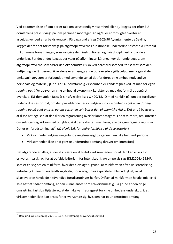Ved bedømmelsen af, om der er tale om selvstændig virksomhed eller ej, lægges der efter EUdomstolens praksis vægt på, om personen modtager løn og/eller er forpligtet overfor en arbejdsgiver ved en arbejdskontrakt. På baggrund af sag C-202/90 Ayuntamiento de Sevilla, lægges der for det første vægt på afgiftsopkrævernes funktionelle underordnelsesforhold i forhold til kommunalforvaltningen, som kan give dem instruktioner, og hvis disciplinærkontrol de er underlagt. For det andet lægges der vægt på aflønningsvilkårene, hvor der undersøges, om afgiftsopkræverne selv bærer den økonomiske risiko ved deres virksomhed, for så vidt som den indtjening, de får derved, ikke alene er afhængig af de opkrævede afgiftsbeløb, men også af de omkostninger, som er forbundet med anvendelsen af det for deres virksomhed nødvendige personale og materiel, jf. pr. 12-14. Selvstændig virksomhed er kendetegnet ved, at man for egen regning og risiko udøver en virksomhed af økonomisk karakter og med det formål at opnå et overskud. EU-domstolen fastslår sin afgørelse i sag C-420/18, IO med henblik på, om der foreligger underordnelsesforhold, om den pågældende person udøver sin virksomhed i *eget navn, for egen* regning og på eget ansvar, og om personen selv bærer den økonomiske risiko. Det er på baggrund af disse betingelser, at der sker en afgrænsning overfor lønmodtagere. For at vurdere, om kriteriet om selvstændig virksomhed opfyldes, skal den aktivitet, man laver, ske på egen regning og risiko. Det er en forudsætning, at<sup>45</sup> (*jf. afsnit 5.6. for bedre forståelse af disse kriterier*)

- Virksomheden udøves nogenlunde regelmæssigt og gennem en ikke helt kort periode
- Virksomheden ikke er af ganske underordnet omfang (kravet om intensitet)

Det afgørende er altså, at der skal være en aktivitet i virksomheden, for at den kan anses for erhvervsmæssig, og for at opfylde kriterium for intensitet, jf. eksempelvis sag SKM2004.455.HR, som er en sag om en minkfarm, hvor det blev lagt til grund, at minkfarmen efter sin størrelse og indretning kunne drives landbrugsfagligt forsvarligt, hvis kapaciteten blev udnyttet, og at skatteyderen havde de nødvendige forudsætninger herfor. Driften af minkfarmen havde imidlertid ikke haft et sådant omfang, at den kunne anses som erhvervsmæssig. På grund af den ringe omsætning fastslog Højesteret, at der ikke var fradragsret for virksomhedens underskud, idet virksomheden ikke kan anses for erhvervsmæssig, hvis den har et underordnet omfang.

28

 $45$  Den juridiske vejledning 2021-2, C.C.1. Selvstændig erhvervsvirksomhed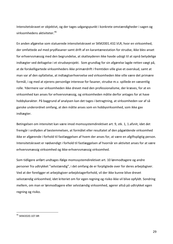Intensitetskravet er objektivt, og der tages udgangspunkt i konkrete omstændigheder i sagen og virksomhedens aktiviteter.<sup>46</sup>

En anden afgørelse som statuerede intensitetskravet er SKM2001.432.VLR, hvor en virksomhed, der omfattede avl med prydfasaner samt drift af en karantænestation for strudse, ikke blev anset for erhvervsmæssig med den begrundelse, at skatteyderen ikke havde udsigt til at opnå betydelige indtægter ved deltagelse i et strudseprojekt. Som grundlag for sin afgørelse lagde retten vægt på, at de forskelligartede virksomheders ikke primærdrift i fremtiden ville give et overskud, samt at man var af den opfattelse, at indtægtserhvervelse ved virksomheden ikke ville være det primære formål, i og med at ejerens personlige interesse for fasaner, strudse m.v. spillede en væsentlig rolle. Ydermere var virksomheden ikke drevet med den professionalisme, der kræves, for at en virksomhed kan anses for erhvervsmæssig, og virksomheden måtte derfor antages for at have hobbykarakter. På baggrund af analysen kan det tages i betragtning, at virksomheden var af så ganske underordnet omfang, at den måtte anses som en hobbyvirksomhed, som ikke gav indtægter. 

Betingelsen om intensitet kan være imod momssystemdirektivet art. 9, stk. 1, 1.afsnit, idet det fremgår i ordlyden af bestemmelsen, at formålet eller resultatet af den pågældende virksomhed ikke er afgørende i forhold til fastlæggelsen af hvem der anses for, at være en afgiftspligtig person. Intensitetskravet er nødvendigt i forhold til fastlæggelsen af hvornår en aktivitet anses for at være erhvervsmæssig virksomhed og ikke-erhvervsmæssig virksomhed.

Som tidligere anført undtages ifølge momssystemdirektivet art. 10 lønmodtagere og andre personer fra udtrykket "selvstændig", i det omfang de er forpligtede over for deres arbejdsgiver. Ved at der foreligger et arbejdsgiver-arbejdstagerforhold, vil der ikke kunne blive drevet selvstændig virksomhed, idet kriteriet om for egen regning og risiko ikke vil blive opfyldt. Sondring mellem, om man er lønmodtagere eller selvstændig virksomhed, agerer altså på udtrykket egen regning og risiko.

 <sup>46</sup> SKM2020.107.BR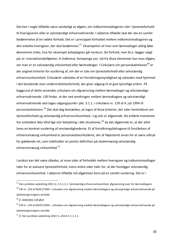Det kan i nogle tilfælde være vanskeligt at afgøre, om indkomstmodtageren står i tjenesteforhold til hvervgiveren eller er selvstændigt erhvervsdrivende. I sådanne tilfælde skal der ske en samlet bedømmelse af en række forhold. Det er i princippet forholdet mellem indkomstmodtageren og den enkelte hvervgiver, der skal bedømmes.<sup>47</sup> Eksempelvis vil man som lønmodtager aldrig løbe økonomisk risiko, hvis for eksempel arbejdsgiver går konkurs. De forhold, man bl.a. lægger vægt på, er: instruktionsbeføjelser, A-indkomst, feriepenge osv. Ud fra disse elementer kan man afgøre, om man er en selvstændig virksomhed eller lønmodtager. I Cirkulære om personskatteloven<sup>48</sup> er der angivet kriterier for vurdering af, om der er tale om tjenesteforhold eller selvstændig erhvervsvirksomhed. Cirkulærer udstedes af en forvaltningsmyndighed og udstedes med hjemmel i det bestående over-underordnelsesforhold, der giver adgang til at give tjenstlige ordrer. På baggrund af dette anvendes cirkulære om afgrænsning mellem lønmodtager og selvstændige erhvervsdrivende. LSR finder, at der ved sondringen mellem lønmodtagere og selvstændigt erhvervsdrivende skal tages udgangspunkt i pkt. 3.1.1. i cirkulære nr. 129 af 4. juli 1994 til personskatteloven.<sup>49</sup> Det skal dog bemærkes, at ingen af disse kriterier, der taler henholdsvis om tjenesteforhold og selvstændig erhvervsvirksomhed, i sig selv er afgørende. De anførte momenter har endvidere ikke altid lige stor betydning i alle situationer,<sup>50</sup> da det afgørende er, at der altid laves en konkret vurdering af omstændighederne. Et af fortolkningsbidragene til forståelsen af erhvervsmæssig virksomhed er personskattecirkulæret, der af Højesteret anses for at være udtryk for gældende ret, som indeholder en positiv definition på skattemæssig selvstændig erhvervsmæssig virksomhed.<sup>51</sup>

I praksis kan det være således, at visse sider af forholdet mellem hvervgiver og indkomstmodtager taler for at statuere tjenesteforhold, mens andre sider taler for, at der foreligger selvstændig erhvervsvirksomhed. I sådanne tilfælde må afgørelsen bero på en samlet vurdering. Det er i

 $47$  Den iuridiske veiledning 2021-2, C.C.1.2.1. Selvstændig erhvervsvirksomhed, afgrænsning over for lønmodtagere

 $48$  CIR nr. 129 af 04/07/1994 – cirkulære om afgrænsning mellem lønmodtagere og selvstændige erhvervsdrivende på skattelovgivningens område 

<sup>&</sup>lt;sup>49</sup> jf. SKM2002.339.ØLR

 $50$  CIR nr. 129 af 04/07/1994 – cirkulære om afgrænsning mellem lønmodtagere og selvstændige erhvervsdrivende på skattelovgivningens område

 $51$  jf. Den juridiske vejledning 2022-1, afsnit C.C.1.1.1.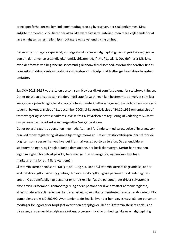princippet forholdet mellem indkomstmodtageren og hvervgiver, der skal bedømmes. Disse anførte momenter i cirkulæret bør altså ikke være fastsatte kriterier, men mere vejledende for at lave en afgrænsning mellem lønmodtagere og selvstændig virksomhed.

Det er anført tidligere i specialet, at ifølge dansk ret er en afgiftspligtig person juridiske og fysiske person, der driver selvstændig økonomisk virksomhed, jf. ML § 3, stk. 1. Dog definerer ML ikke, hvad der forstås ved begreberne selvstændig økonomisk virksomhed, hvorfor det herefter findes relevant at inddrage relevante danske afgørelser som hjælp til at fastlægge, hvad disse begreber omfatter. 

Sag SKM2013.26.SR vedrørte en person, som blev beskikket som fast værge for statsforvaltningen. Det er oplyst, at ansættelsen gælder, indtil statsforvaltningen kan bestemme, at hvervet som fast værge skal opslås ledigt eller skal ophøre hvert femte år efter antagelsen. Endvidere henvises der i sagen til bekendtgørelse af 11. december 2003, cirkulæreskrivelse af 24.10.1996 om antagelse af faste værger og seneste cirkulæreskrivelse fra Civilstyrelsen om regulering af vederlag m.v., samt om personen er beskikket som værge efter Værgemålsloven.

Det er oplyst i sagen, at personen ingen udgifter har i forbindelse med varetagelse af hvervet, som hun ved momsregistrering vil kunne hjemtage moms af. Det er Statsforvaltningen, der står for de udgifter, som spørger har ved hvervet i form af kørsel, porto og telefon. Det er endvidere statsforvaltningen, og i nogle tilfælde domstolene, der beskikker værge. Derfor har personen ingen mulighed for selv at påvirke, hvor mange, hun er værge for, og hun kan ikke tage markedsføring for at få flere værgemål.

Skatteministeriet henviser til ML § 3, stk. 1 og § 4. Det er Skatteministeriets begrundelse, at der skal betales afgift af varer og ydelser, der leveres af afgiftspligtige personer mod vederlag her i landet. Og at afgiftspligtige personer er juridiske eller fysiske personer, der driver selvstændig økonomisk virksomhed. Lønmodtagere og andre personer er ikke omfattet af momsreglerne, eftersom de er forpligtede over for deres arbejdsgiver. Skatteministeriet henviser endvidere til EUdomstolens praksis C-202/90, Ayuntamiento de Sevilla, hvor der her lægges vægt på, om personen modtager løn og/eller er forpligtet overfor en arbejdsgiver. Det er Skatteministeriets konklusion på sagen, at spørger ikke udøver selvstændig økonomisk virksomhed og ikke er en afgiftspligtig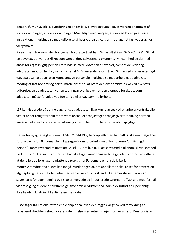person, jf. ML § 3, stk. 1. I vurderingen er der bl.a. blevet lagt vægt på, at værgen er antaget af statsforvaltningen, at statsforvaltningen fører tilsyn med værgen, at der ved lov er givet visse instruktioner i forbindelse med udførelse af hvervet, og at værgen modtager et fast vederlag for værgemålet. 

På samme måde som i den forrige sag fra Skatterådet har LSR fastslået i sag SKM2014.781.LSR, at en advokat, der var beskikket som værge, drev selvstændig økonomisk virksomhed og dermed ansås for afgiftspligtig person i forbindelse med udøvelsen af hvervet, samt at de vederlag, advokaten modtog herfor, var omfattet af ML's anvendelsesområde. LSR har ved vurderingen lagt vægt på bl.a., at advokaten kunne antage personale i forbindelse med arbejdet, at advokaten modtog et fast honorar og derfor måtte anses for at bære den økonomiske risiko ved hvervets udførelse, og at advokaten var erstatningsansvarlig over for den værgede for skade, som advokaten måtte forvolde ved forsætlige eller uagtsomme forhold.

LSR konkluderede på denne baggrund, at advokaten ikke kunne anses ved en arbejdskontrakt eller ved et andet retligt forhold for at være ansat i et arbejdstager-arbejdsgiverforhold, og dermed ansås advokaten for at drive selvstændig virksomhed, som herefter er afgiftspligtige.

Der er for nyligt afsagt en dom, SKM2021.614.VLR, hvor appellanten har haft ønske om præjudiciel forelæggelse for EU-domstolen af spørgsmål om fortolkningen af begreberne "afgiftspligtig person" i momssystemdirektivet art. 2, stk. 1, litra b, pkt. ii, og selvstændig økonomisk virksomhed i art. 9, stk. 1, 1. afsnit. Landsretten har ikke taget anmodningen til følge, idet Landsretten udtalte, at der allerede foreligger omfattende praksis fra EU-domstolen om de kriterier i momssystemdirektivet, som kan indgå i vurderingen af, om appellanten skal anses for at være en afgiftspligtig person i forbindelse med køb af varer fra Tyskland. Skatteministeriet har anført i sagen, at A for egen regning og risiko erhvervede og importerede varerne fra Tyskland med formål videresalg, og at denne selvstændige økonomiske virksomhed, som blev udført af A personligt, ikke havde tilknytning til aktiviteten i selskabet.

Disse sager fra nationalretten er eksempler på, hvad der lægges vægt på ved fortolkning af selvstændighedsbegrebet. I overensstemmelse med retningslinjer, som er anført i Den juridiske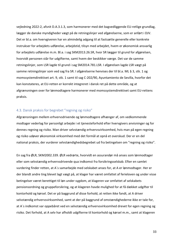vejledning 2022-2, afsnit D.A.3.1.3, som harmonerer med det bagvedliggende EU-retlige grundlag, lægger de danske myndigheder vægt på de retningslinjer ved afgørelserne, som er anført i DJV. Det er bl.a. om hvervgiveren har en almindelig adgang til at fastsætte generelle eller konkrete instrukser for arbejdets udførelse, arbejdstid, tilsyn med arbejdet, hvem er økonomisk ansvarlig for arbeidets udførelse m.m. Bl.a. i sag SKM2013.26.SR, hvor SR lægger til grund for afgørelsen, hvorvidt personen står for udgifterne, samt hvem der beskikker værge. Det var de samme retningslinjer, som LSR lagde til grund i sag SM2014.781.LSR. I afgørelsen lagde LSR vægt på samme retningslinjer som ved sag fra SR. I afgørelserne henvises der til bl.a. ML § 3, stk. 1 og momssystemdirektivet art. 9, stk. 1 samt til sag C-202/90, Ayuntamiento de Sevilla, hvorfor det kan konstateres, at EU-retten er korrekt integreret i dansk ret på dette område, og at afgrænsningen over for lønmodtagere harmonerer med momssystemdirektivet samt EU-rettens praksis.

#### 4.3. Dansk praksis for begrebet "regning og risiko"

Afgrænsningen mellem erhvervsdrivende og lønmodtagere afhænger af, om vedkommende modtager vederlag for personligt arbejde i et tjenesteforhold efter hvervgivers anvisninger og for dennes regning og risiko. Man driver selvstændig erhvervsvirksomhed, hvis man på egen regning og risiko udøver økonomisk virksomhed med det formål at opnå et overskud. Der er en del national praksis, der vurderer selvstændighedsbegrebet ud fra betingelsen om "regning og risiko".

En sag fra ØLR, SKM2002.339. ØLR vedrørte, hvorvidt en assurandør må anses som lønmodtager eller som selvstændig erhvervsdrivende qua indkomst fra forsikringsselskab. Efter en samlet vurdering finder retten, at A's samarbejde med selskabet anses for, at A er lønmodtager. Her er der blandt andre ting blevet lagt vægt på, at klager har været omfattet af ferieloven og under visse betingelser været berettiget til løn under sygdom, at klageren var omfattet af selskabets pensionsordning og gruppeforsikring, og at klageren havde mulighed for at få dækket udgifter til kontorhold og kørsel. Det er på baggrund af disse forhold, at retten ikke fandt, at A driver selvstændig erhvervsvirksomhed, samt at der på baggrund af omstændighederne ikke er tale for, at A's indkomst var oppebåret ved en selvstændig erhvervsvirksomhed drevet for egen regning og risiko. Det forhold, at A selv har afholdt udgifterne til kontorhold og kørsel m.m., samt at klageren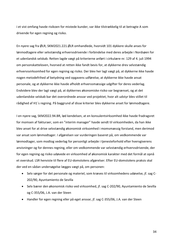i et vist omfang havde risikoen for mistede kunder, var ikke tilstrækkelig til at betragte A som drivende for egen regning og risiko.

En nyere sag fra ØLR; SKM2021.221.ØLR omhandlede, hvorvidt 101 dykkere skulle anses for lønmodtagere eller selvstændig erhvervsdrivende i forbindelse med deres arbejde i Nordsøen for et udenlandsk selskab. Retten lagde vægt på kriterierne anført i cirkulære nr. 129 af 4. juli 1994 om personskatteloven, hvorved at retten ikke fandt bevis for, at dykkerne drev selvstændig erhvervsvirksomhed for egen regning og risiko. Der blev her lagt vægt på, at dykkerne ikke havde nogen metodefrihed af betydning ved opgavens udførelse, at dykkerne ikke havde ansat personale, og at dykkerne ikke havde afholdt erhvervsmæssige udgifter for deres vederlag. Endvidere blev der lagt vægt på, at dykkernes økonomiske risiko var begrænset, og at det udenlandske selskab bar det overordnede ansvar ved projektet, hvor alt udstyr blev stillet til rådighed af H1´s regning. På baggrund af disse kriterier blev dykkerne anset for lønmodtagere.

I en nyere sag, SKM2022.94.BR, lød kendelsen, at en konsulentvirksomhed ikke havde fradragsret for momsen af fakturaer, som en "interim manager" havde sendt til virksomheden, da han ikke bley anset for at drive selvstændig økonomisk virksomhed i momsmæssig forstand, men derimod var ansat som lønmodtager. I afgørelsen var vurderingen baseret på, om vedkommende var lønmodtager, som modtog vederlag for personligt arbeide i tienesteforhold efter hvervgiverens anvisninger og for dennes regning, eller om vedkommende var selvstændig erhvervsdrivende, der for egen regning og risiko udøvede en virksomhed af økonomisk karakter med det formål at opnå et overskud. LSR henviste til flere af EU-domstolens afgørelser. Efter EU-domstolens praksis skal der ved en sådan undersøgelse lægges vægt på, om personen:

- Selv sørger for det personale og materiel, som kræves til virksomhedens udøvelse, jf. sag C-202/90, Ayuntamiento de Sevilla
- Selv bærer den økonomisk risiko ved virksomhed, jf. sag C-202/90, Ayuntamiento de Sevilla og C-355/06, J.A. van der Steen
- Handler for egen regning eller på eget ansvar, jf. sag C-355/06, J.A. van der Steen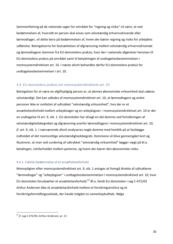Sammenfatning på de nationale sager for området for "regning og risiko" vil være, at ved bedømmelsen af, hvorvidt en person skal anses som selvstændig erhvervsdrivende eller lønmodtager, vil dette bero på bedømmelsen af, hvem der bærer regning og risiko for arbejdets udførelse. Betingelserne for fastsættelsen af afgrænsning mellem selvstændig erhvervsdrivende og lønmodtagere stammer fra EU-domstolens praksis, hvor der i nationale afgørelser henvises til EU-domstolens praksis på området samt til betydningen af undtagelsesbestemmelsen i momssystemdirektivet art. 10. I næste afsnit behandles derfor EU-domstolens praksis for undtagelsesbestemmelsen i art. 10.

#### 4.4. EU-domstolens praksis om momssystemdirektivet art. 10

Betingelsen for at være en afgiftspligtig person er, at dennes økonomiske virksomhed skal udøves selvstændigt. Det kan udledes af momssystemdirektivet art. 10, at lønmodtagere og andre personer ikke er omfattet af udtrykket "selvstændig virksomhed", hvis der er et ansættelsesforhold mellem arbejdstager og en arbejdsgiver. I momssystemdirektivet art. 10 er der en undtagelse til art. 9, stk. 1. EU-domstolen har afsagt en del domme ved fortolkningen af selvstændighedsbegrebet og afgrænsning overfor lønmodtagere i momssystemdirektivet art. 10, jf. art. 9, stk. 1. I nærværende afsnit analyseres nogle domme med henblik på at fastlægge indholdet af det momsretlige selvstændighedsbegreb. Dommene vil blive gennemgået kort og illustrerer, at man ved vurdering af udtrykket "selvstændig virksomhed" lægger vægt på bl.a. betalingen, retsforholdet mellem parterne, og hvem der bærer den økonomiske risiko.

#### 4.4.1. Faktisk bedømmelse af et ansættelsesforhold

Momspligten efter momssystemdirektivet art. 9, stk. 1 antages at fremgå direkte af udtrykkene "Iønmodtager" og "arbejdsgiver" i undtagelsesbestemmelsen i momssystemdirektivet art. 10, hvor EU-domstolen forudsætter et ansættelsesforhold.<sup>52</sup> Bl.a. fandt EU-domstolen i sag C-472/03 Arthur Andersen ikke et ansættelsesforhold mellem et forsikringsinstitut og et forsikringsformidlingsselskab, der havde indgået en samarbejdsaftale. Ifølge

 $52$  jf. sag C-472/03, Arthur Andersen, pr. 21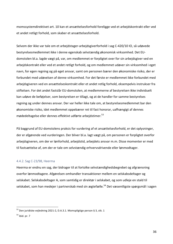momssystemdirektivet art. 10 kan et ansættelsesforhold foreligge ved et arbejdskontrakt eller ved et andet retligt forhold, som skaber et ansættelsesforhold.

Selvom der ikke var tale om et arbejdstager-arbejdsgiverforhold i sag C-420/10 IO, så udøvede bestyrelsesmedlemmet ikke i denne egenskab selvstændig økonomisk virksomhed. Det EUdomstolen bl.a. lagde vægt på, var, om medlemmet er forpligtet over for sin arbejdsgiver ved en arbejdskontrakt eller ved et andet retligt forhold, og om medlemmet udøver sin virksomhed i eget navn, for egen regning og på eget ansvar, samt om personen bærer den økonomiske risiko, der er forbundet med udøvelsen af denne virksomhed. For det første er medlemmet ikke forbundet med arbejdsgiveren ved en ansættelseskontrakt eller et andet retlig forhold, eksempelvis instrukser fra stiftelsen. For det andet fastslår EU-domstolen, at medlemmerne af bestyrelsen ikke individuelt kan udøve de beføjelser, som bestyrelsen er tillagt, og at de handler for samme bestyrelses regning og under dennes ansvar. Der var heller ikke tale om, at bestyrelsesmedlemmet bar den økonomiske risiko, idet medlemmet oppebærer ret til fast honorar, uafhængigt af dennes mødedeltagelse eller dennes effektivt udførte arbejdstimer.<sup>53</sup>

På baggrund af EU-domstolens praksis for vurdering af et ansættelsesforhold, er det oplysninger, der er afgørende ved vurderingen. Der bliver bl.a. lagt vægt på, om personen er forpligtet overfor arbeidsgiveren, om der er lønforhold, arbeidstid, arbeidets ansvar m.m. Disse momenter er med til fastsættelse af, om der er tale om selvstændig erhvervsdrivende eller lønmodtager.

#### 4.4.2. Sag C-23/98, Heerma

Heerma er endnu en sag, der bidrager til at fortolke selvstændighedsbegrebet og afgrænsning overfor lønmodtagere. Afgørelsen omhandler transaktioner mellem en selskabsdeltager og selskabet. Selskabsdeltager A, som samtidig er direktør i selskabet, og som udleje en stald til selskabet, som han medejer i partnerskab med sin ægtefælle.<sup>54</sup> Det væsentligste spørgsmål i sagen

 $53$  Den juridiske vejledning 2021-2, D.A.3.1. Momspligtige person § 3, stk. 1

 $54$  ibid. pr. 7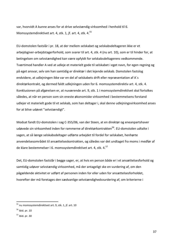var, hvorvidt A kunne anses for at drive selvstændig virksomhed i henhold til 6. Momssystemdirektivet art. 4, stk. 1, jf. art. 4, stk.  $4.^{55}$ 

EU-domstolen fastslår i pr. 18, at der mellem selskabet og selskabsdeltageren ikke er et arbeidsgiver-arbeidstagerforhold, som svarer til art. 4, stk. 4 (nu art. 10), som er til hinder for, at betingelsen om selvstændighed kan være opfyldt for selskabsdeltagerens vedkommende. Tværtimod handler A ved at udleje et materielt gode til selskabet i eget navn, for egen regning og på eget ansvar, selv om han samtidig er direktør i det lejende selskab. Domstolen fastslog endvidere, at udlejningen ikke var en del af selskabets drift eller repræsentation af A's direktørkontrakt, og dermed faldt udlejningen uden for 6. momssystemdirektiv art. 4, stk. 4. Konklusionen på afgørelsen er, at nuværende art. 9, stk. 1 i momssystemdirektivet skal fortolkes således, at når en person som sin eneste økonomiske virksomhed i bestemmelsens forstand udlejer et materielt gode til et selskab, som han deltager i, skal denne udlejningsvirksomhed anses for at blive udøvet "selvstændigt".

Modsat fandt EU-domstolen i sag C-355/06, van der Steen, at en direktør og eneanpartshaver udøvede sin virksomhed inden for rammerne af direktørkontrakten<sup>56</sup>. EU-domstolen udtalte i sagen, at så længe selskabsdeltager udførte arbejdet til fordel for selskabet, henhørte anvendelsesområdet til ansættelseskontrakten, og således var det undtaget fra moms i medfør af de klare bestemmelser i 6. momssystemdirektivet art. 4, stk.  $4.57$ 

Det, EU-domstolen fastslår i begge sager, er, at hvis en person både er i et ansættelsesforhold og samtidig udøver selvstændig virksomhed, må der antageligt ske en vurdering af, om den pågældende aktivitet er udført af personen inden for eller uden for ansættelsesforholdet. hvorefter der må foretages den sædvanlige selvstændighedsvurdering af, om kriterierne i

 $55$  nu momssystemdirektivet art. 9, stk. 1, jf. art. 10

 $56$  ibid. pr. 10

 $57$  ibid. pr. 30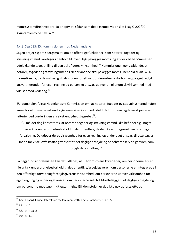momssystemdirektivet art. 10 er opfyldt, sådan som det eksempelvis er sket i sag C-202/90, Ayuntamiento de Sevilla.<sup>58</sup>

#### 4.4.3. Sag 235/85, Kommissionen mod Nederlandene

Sagen drejer sig om spørgsmålet, om de offentlige funktioner, som notarer, fogeder og stævningsmænd varetager i henhold til loven, bør pålægges moms, og at der ved bedømmelsen udelukkende tages stilling til den del af deres virksomhed.<sup>59</sup> Kommissionen gør gældende, at notarer, fogeder og stævningsmænd i Nederlandene skal pålægges moms i henhold til art. 4 i 6. momsdirektiv, da de uafhængigt, dvs. uden for ethvert underordnelsesforhold og på eget retligt ansvar, herunder for egen regning og personligt ansvar, udøver en økonomisk virksomhed med ydelser mod vederlag.<sup>60</sup>

EU-domstolen fulgte Nederlandske Kommission om, at notarer, fogeder og stævningsmænd måtte anses for at udøve selvstændig økonomisk virksomhed, idet EU-domstolen lagde vægt på disse kriterier ved vurderingen af selvstændighedsbegrebet $^{61}$ :

"... må det dog konstateres, at notarer, fogeder og stævningsmænd ikke befinder sig i noget hierarkisk underordnelsesforhold til det offentlige, da de ikke er integreret i en offentlige forvaltning. De udøver deres virksomhed for egen regning og under eget ansvar, tilrettelægger inden for visse lovfastsatte grænser frit det daglige arbejde og oppebærer selv de gebyrer, som udgør deres indtægt."

På baggrund af præmissen kan det udledes, at EU-domstolens kriterier er, om personerne er i et hierarkisk underordnelsesforhold til det offentlige/arbeidsgiveren, om personerne er integrerede i den offentlige forvaltning/arbejdsgiverens virksomhed, om personerne udøver virksomhed for egen regning og under eget ansvar, om personerne selv frit tilrettelægger det daglige arbejde, og om personerne modtager indtægter. Ifølge EU-domstolen er det ikke nok at fastsætte et

 $^{58}$  Bog: Elgaard, Karina, Interaktion mellem momsretten og selskabsretten, s. 195

 $59$  ibid. pr. 3

 $60$  ibid. pr. 4 og 13

 $61$  ibid. pr. 14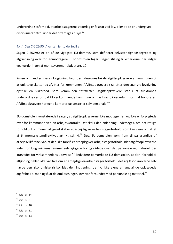underordnelsesforhold, at arbejdstagerens vederlag er fastsat ved lov, eller at de er undergivet disciplinærkontrol under det offentliges tilsyn.<sup>62</sup>

#### 4.4.4. Sag C-202/90, Ayuntamiento de Sevilla

Sagen C-202/90 er en af de vigtigste EU-domme, som definerer selvstændighedsbegrebet og afgrænsning over for lønmodtagere. EU-domstolen tager i sagen stilling til kriterierne, der indgår ved vurderingen af momssystemdirektivet art. 10.

Sagen omhandler spansk lovgivning, hvor der udnævnes lokale afgiftsopkrævere af kommunen til at opkræve skatter og afgifter for kommunen. Afgiftsopkrævere skal efter den spanske lovgivning opstille en sikkerhed, som kommunen fastsætter. Afgiftsopkrævere står i et funktionelt underordnelsesforhold til vedkommende kommune og har krav på vederlag i form af honorarer. Afgiftsopkrævere har egne kontorer og ansætter selv personale. $^{63}$ 

EU-domstolen konstaterede i sagen, at afgiftsopkræverne ikke modtager løn og ikke er forpligtede over for kommunen ved en arbejdskontrakt. Det skal i den anledning undersøges, om det retlige forhold til kommunen alligevel skaber et arbejdsgiver-arbejdstagerforhold, som kan være omfattet af 6. momssystemdirektivet art. 4, stk. 4.<sup>64</sup> Det, EU-domstolen kom frem til på grundlag af arbejdsvilkårene, var, at der ikke forelå et arbejdsgiver-arbejdstagerforhold, idet afgiftsopkræverne inden for lovgivningens rammer selv sørgede for og rådede over det personale og materiel, der krævedes for virksomhedens udøvelse.<sup>65</sup> Endvidere bemærkede EU-domstolen, at der i forhold til aflønning heller ikke var tale om et arbejdsgiver-arbejdstager forhold, idet afgiftsopkræverne selv havde den økonomiske risiko, idet den indtjening, de fik, ikke alene afhang af de opkrævede afgiftsbeløb, men også af de omkostninger, som var forbundet med personale og materiel.<sup>66</sup>

 $64$  ibid. pr. 10

 $62$  ibid. pr. 14

 $63$  ibid. pr. 3

 $<sup>65</sup>$  ibid. pr. 11</sup>

 $66$  ibid. pr. 13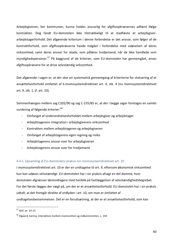Arbejdsgiveren, her kommunen, kunne holdes ansvarlig for afgiftsopkrævernes adfærd ifølge kontrakten. Dog fandt EU-domstolen ikke tilstrækkeligt til at stadfæste et arbejdsgiverarbejdstagerforhold. Det afgørende kriterium i denne forbindelse er det ansvar, som følger af de kontraktforhold, som afgiftsopkræverne havde indgået i forbindelse med udøvelsen af deres virksomhed, samt deres ansvar for skade, som påføres tredjemand, når de ikke handlede som myndighedspersoner.<sup>67</sup> På baggrund af de kriterier, som EU-domstolen har gennemgået, anses afgiftsopkrævere for at drive selvstændig virksomhed.

Det afgørende i sagen er, at der sker en systematisk gennemgang af kriterierne for statuering af et ansættelsesforhold omfattet af 6.momssystemdirektivet art. 4, stk. 4 (nu momssystemdirektivet art. 9, stk. 1, jf. art. 10).

Sammenhængen mellem sag C202/90 og sag C-235/85 er, at der i begge sager foretages en samlet vurdering af følgende kriterier:<sup>68</sup>

- Omfanget af underordnelsesforholdet mellem arbejdsgiver og arbejdstager
- Arbejdstagerens integration i arbejdsgiverens virksomhed
- Kontrakten mellem arbejdstageren og arbejdsgiveren
- Omfanget af arbejdstagerens egen regning og risiko
- Arbeidstagerens ansvar over for arbeidsgiveren
- Arbejdstagerens ansvar over for tredjemand

#### 4.4.5. Opsamling af EU-domstolens praksis om momssystemdirektivet art. 10

I momssystemdirektivet art. 10 er der en undtagelse til art. 9, eftersom økonomisk virksomhed kun kan udøves selvstændigt. EU-domstolen har i sin praksis afsagt en del domme, hvor domstolen afgrænser lønmodtagere med henblik på fastlæggelsen af selvstændighedsbegrebet. For det første lægges der vægt på, om der er et ansættelsesforhold. EU-domstolen har i sin praksis udtalt, at det fremgår direkte af ordlyden i art. 10, om man er omfattet af undtagelsesbestemmelsen. Det er en forudsætning, at der er et ansættelsesforhold, som kan

 $67$  ibid. pr. 14-15

 $68$  Elgaard, Karina, Interaktion mellem momsretten og indkomstretten, s. 193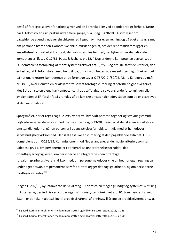bestå af forpligtelse over for arbejdsgiver ved en kontrakt eller ved et andet retligt forhold. Dette har EU-domstolen i sin praksis udtalt flere gange, bl.a. i sag C-420/10 IO, som viser om pågældende egentlig udøver sin virksomhed i eget navn, for egen regning og på eget ansvar, samt om personen bærer den økonomiske risiko. Vurderingen af, om der rent faktisk foreligger en ansættelseskontrakt eller kontrakt, der kan sidestilles hermed, henhører under de nationale kompetencer, jf. sag C-17/81, Pabst & Richarz, pr. 12.<sup>69</sup> Dog er denne kompetence begrænset til EU-domstolens fortolkning af momssystemdirektivet art. 9, stk. 1 og art. 10, samt de kriterier, der er fastlagt af EU-domstolen med henblik på, om virksomheden udøves selvstændigt. Et eksempel på nationale retters kompetence er de forenede sager C-78/02-C-/80/02, Maria Karagergou m.fl., pr. 38-39, hvor Domstolen er afskåret fra selv at foretage vurdering af selvstændighedskriteriet, idet EU-domstolen alene har kompetence til at træffe afgørelse vedrørende fortolkningen eller gyldigheden af EF-forskrift på grundlag af de faktiske omstændigheder, sådan som de er beskrevet af den nationale ret.

Spørgsmålet, der er rejst i sag C-23/98, vedrørte, hvorvidt notarer, fogeder og stævningsmænd udøvede selvstændig virksomhed. Det ses bl.a. i sag C-23/98, Heerma, at der sker en adskillelse af omstændighederne, når en person er i et ansættelsesforhold, samtidig med at han udøver selvstændighed virksomhed. Der skal altså ske en vurdering af den pågældende aktivitet. I EUdomstolens dom C-235/85, Kommissionen mod Nederlandene, er der nogle kriterier, som kan udledes i pr. 14, om personerne er i et hierarkisk underordnelsesforhold til det offentlige/arbejdsgiveren, om personerne er integrerede i den offentlige forvaltning/arbejdsgiverens virksomhed, om personerne udøver virksomhed for egen regning og under eget ansvar, om personerne selv frit tilrettelægger det daglige arbejde, og om personerne modtager vederlag.<sup>70</sup>

I sagen C-202/90, Ayuntamiento de Sevillatog EU-domstolen meget grundigt og systematisk stilling til kriterierne, der indgår ved vurderingen af momssystemdirektivet art. 10. Som nævnet i afsnit 4.3.4., er der bl.a. taget stilling til arbejdsvilkårene, aflønningsvilkårene og arbejdsgiverens ansvar.

 $69$  Elgaard, Karina, Interaktionen mellem momsretten og indkomstskatteretten, 2016, s. 189

 $70$  Elgaard, Karina, Interaktionen mellem momsretten og indkomstskatteretten, 2016, s. 190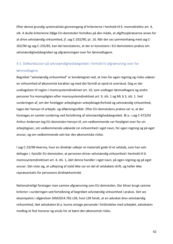Efter denne grundig systematiske gennemgang af kriterierne i henhold til 6. momsdirektiv art. 4, stk. 4 skulle kriterierne ifølge EU-domstolen fortolkes på den måde, at afgiftsopkræverne anses for at drive selvstændig virksomhed, jf. sag C-202/90, pr. 16. Når der ses sammenhæng med sag C-202/90 og sag C-235/85, kan det konstateres, at der er konsistens i EU-domstolens praksis om selvstændighedsbegrebet og afgrænsningen over for lønmodtagere.

## 4.5. Delkonklusion på selvstændighedsbegrebet i forhold til afgrænsning over for lønmodtagere

Begrebet "selvstændig virksomhed" er kendetegnet ved, at man for egen regning og risiko udøver en virksomhed af økonomisk karakter og med det formål at opnå et overskud. Dog er der undtagelsen til reglen i momssystemdirektivet art. 10, som undtager lønmodtagere og andre personer fra momspligten efter momssystemdirektivet art. 9, stk. 1 og ML § 3, stk. 1. Ved vurderingen af, om der foreligger arbejdsgiver-arbejdstagerforhold og selvstændig virksomhed, tages der hensyn til arbejds- og aflønningsvilkår. Efter EU-domstolens praksis ser vi, at der foretages en samlet vurdering ved fortolkning af selvstændighedsbegrebet. Bl.a. i sag C-472/03 Arthur Andersen tog EU-domstolen hensyn til, om vedkommende var forpligtet over for sin arbejdsgiver, om vedkommende udøvede sin virksomhed i eget navn, for egen regning og på eget ansvar, og om vedkommende selv bar den økonomiske risiko.

I sag C-23/98 Heerma, hvor en direktør udlejer et materielt gode til et selskab, som han selv deltager i, fastslår EU-domstolen, at personen driver selvstændig virksomhed i henhold til 6. momssystemdirektivet art. 4, stk. 1, idet denne handler i eget navn, på egen regning og på eget ansvar. Det viste sig, at udlejning af stald ikke var en del af selskabets drift, og heller ikke repræsentativ for personens direktørkontrakt. 

Nationalretligt foretager man samme afgrænsning som EU-domstolen. Der bliver brugt samme kriterier i vurderingen ved fortolkning af begrebet selvstændig virksomhed i praksis. Det ses eksempelvis i afgørelsen SKM2014.781.LSR, hvor LSR fandt, at en advokat drev selvstændig virksomhed, idet advokaten bl.a. kunne antage personale i forbindelse med arbejdet, advokaten modtog et fast honorar og ansås for at bære den økonomisk risiko.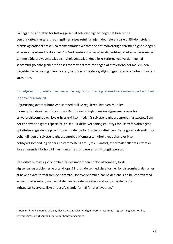På baggrund af praksis for fastlæggelsen af selvstændighedsbegrebet baseret på personskattecirkulærets retningslinjer anses retningslinjer i det hele at svare til EU-domstolens praksis og national praksis på momsområdet vedrørende det momsretlige selvstændighedsbegreb efter momssystemdirektivet art. 10. Ved vurdering af selvstændighedsbegrebet er kriterierne de samme både ordlydsmæssigt og indholdsmæssigt, idet alle kriterierne ved vurderingen af selvstændighedsbegrebet må anses for at vedrøre vurderingen af aftaleforholdet mellem den pågældende person og hvervgiveren, herunder arbejds- og aflønningsvilkårene og arbejdsgiverens ansvar mv.

## 4.6. Afgrænsning mellem erhvervsmæssig virksomhed og ikke-erhvervsmæssig virksomhed (hobbyvirksomhed)

Afgrænsning over for hobbyvirksomhed er ikke reguleret i hverken ML eller momssystemdirektivet. Dog er der i Den Juridiske Vejledning en afgrænsning over for erhvervsvirksomhed og ikke-erhvervsvirksomhed, når selvstændighedsbegrebet fastsættes. Som det er nævnt tidligere i specialet, er Den Juridiske Vejledning et udtryk for Skatteforvaltningens opfattelse af gældende praksis og er bindende for Skatteforvaltningen. Dette gøre nødvendigt for behandlingen af selvstændighedsbegrebet. Momssystemdirektivet behandler ikke hobbyvirksomhed, og der er i bestemmelsens art. 9, stk. 1 anført, at formålet eller resultatet er ikke afgørende i forhold til hvem der anses for være en afgiftspligtig person.

Ikke-erhvervsmæssig virksomhed kaldes undertiden hobbyvirksomhed, fordi afgrænsningsproblemerne ofte vil opstå i forbindelse med visse former for virksomhed, der synes at have private formål som de primære. Hobbyvirksomhed har på den ene side fælles træk med erhvervsvirksomhed, men er på den anden side karakteriseret ved, at systematisk indtægtserhvervelse ikke er det afgørende formål for skatteyderen.<sup>71</sup>

 $71$  Den juridiske vejledning 2022-1, afsnit C.C.1.3. Selvstændig erhvervsvirksomhed. Afgrænsning over for ikke erhvervsmæssig virksomhed (herunder hobbyvirksomhed)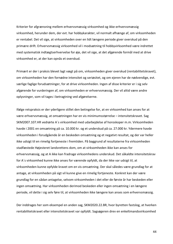Kriterier for afgrænsning mellem erhvervsmæssig virksomhed og ikke-erhvervsmæssig virksomhed, herunder dem, der evt. har hobbykarakter, vil normalt afhænge af, om virksomheden er rentabel. Det vil sige, at virksomheden over en lidt længere periode giver overskud på den primære drift. Erhvervsmæssig virksomhed vil i modsætning til hobbyvirksomhed være indrettet med systematisk indtægtserhvervelse for øje, det vil sige, at det afgørende formål med at drive virksomhed er, at der kan opnås et overskud.

Primært er der i praksis blevet lagt vægt på om, virksomheden giver overskud (rentabilitetskravet), om virksomheden har den fornødne intensitet og seriøsitet, og om ejeren har de nødvendige, evt. særlige faglige forudsætninger, for at drive virksomheden. Ingen af disse kriterier er i sig selv afgørende for vurderingen af, om virksomheden er erhvervsmæssig. Der vil altid være andre oplysninger, som vil tages i betragtning ved afgørelserne.

Ifølge retspraksis er der yderligere stillet den betingelse for, at en virksomhed kan anses for at være erhvervsmæssig, at omsætningen har en vis minimumsstørrelse – intensitetskravet. Sag SKM2007.107.HR vedrørte A's virksomhed med udarbejdelse af horoskoper m.m. Virksomheden havde i 2001 en omsætning på ca. 10.000 kr. og et underskud på ca. 27.000 kr. Ydermere havde virksomheden i forudgående år en beskeden omsætning og et negativt resultat, og der var heller ikke udsigt til en rimelig fortjeneste i fremtiden. På baggrund af resultaterne fra virksomheden stadfæstede Højesteret landsrettens dom, om at virksomheden ikke kan anses for erhvervsmæssig, og at A ikke kan fradrage virksomhedens underskud. Det såkaldte intensitetskrav for A's virksomhed kunne ikke anses for værende opfyldt, da der ikke var udsigt til, at virksomheden kunne opfylde kravet om en vis omsætning. Der skal således være grundlag for at antage, at virksomheden på sigt vil kunne give en rimelig fortjeneste. Konkret kan der være grundlag for en sådan antagelse, selvom virksomheden i det eller de første år har beskeden eller ingen omsætning. Har virksomheden derimod beskeden eller ingen omsætning i en længere periode, vil dette i sig selv føre til, at virksomheden ikke længere kan anses som erhvervsmæssig.

Der inddrages her som eksempel en anden sag, SKM2020.22.BR, hvor byretten fastslog, at hverken rentabilitetskravet eller intensitetskravet var opfyldt. Sagsøgeren drev en enkeltmandsvirksomhed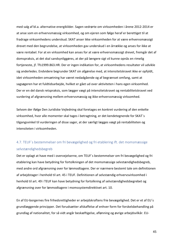med salg af bl.a. alternative energikilder. Sagen vedrørte om virksomheden i årene 2012-2014 er at anse som en erhvervsmæssig virksomhed, og om ejeren som følge heraf er berettiget til at fradrage virksomhedens underskud. SKAT anser ikke virksomheden for at være erhvervsmæssigt drevet med den begrundelse, at virksomheden gav underskud i en årrække og anses for ikke at være rentabel. For at en virksomhed kan anses for at være erhvervsmæssigt drevet, fremgår det af domspraksis, at det skal sandsynliggøres, at der på længere sigt vil kunne opnås en rimelig fortjeneste, jf. Tfs1999.863.HR. Der er ingen indikation for, at virksomhedens resultater vil udvikle sig anderledes. Endvidere begrunder SKAT sin afgørelse med, at intensitetskravet ikke er opfyldt, idet virksomheden omsætning har været nedadgående og af begrænset omfang, samt at sagsøgeren har et fuldtidsarbejde, hvilket er gået ud over aktiviteten i hans egen virksomhed. Der er en del dansk retspraksis, som lægger vægt på intensitetskravet og rentabilitetskravet ved vurdering af afgrænsning mellem erhvervsmæssig og ikke-erhvervsmæssig virksomhed.

Selvom der ifølge Den Juridiske Vejledning skal foretages en konkret vurdering af den enkelte virksomhed, hvor alle momenter skal tages i betragtning, er det kendetegnende for SKAT's tilgangsvinkel til vurderingen af disse sager, at der særligt lægges vægt på rentabiliteten og intensiteten i virksomheden.

## 4.7. TEUF's bestemmelser om fri bevægelighed og fri etablering ift. det momsmæssige selvstændighedsbegreb

Det er oplagt at have med i overvejelserne, om TEUF's bestemmelser om fri bevægelighed og fri etablering kan have betydning for fortolkningen af det momsmæssige selvstændighedsbegreb, med andre ord afgrænsning over for lønmodtagere. Der er nærmere bestemt tale om definitionen af arbejdstager i henhold til art. 45 i TEUF. Definitionen af selvstændig erhvervsvirksomhed i henhold til art. 49 i TEUF kan have betydning for fortolkning af selvstændighedsbegrebet og afgrænsning over for lønmodtagere i momssystemdirektivet art. 10.

En af EU-borgernes fire frihedsrettigheder er arbejdskraftens frie bevægelighed. Det er et af EU's grundlæggende principper. Det forudsætter afskaffelse af enhver form for forskelsbehandling på grundlag af nationalitet, for så vidt angår beskæftigelse, aflønning og øvrige arbejdsvilkår. EU-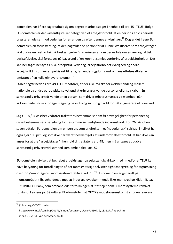domstolen har i flere sager udtalt sig om begrebet arbejdstager i henhold til art. 45 i TEUF. Ifølge EU-domstolen er det væsentligste kendetegn ved et arbejdsforhold, at en person i en vis periode præsterer ydelser mod vederlag for en anden og efter dennes anvisninger.<sup>72</sup> Dog er det ifølge EUdomstolen en forudsætning, at den pågældende person for at kunne kvalificeres som arbejdstager skal udøve en reel og faktisk beskæftigelse. Vurderingen af, om der er tale om en reel og faktisk beskæftigelse, skal foretages på baggrund af en konkret samlet vurdering af arbejdsforholdet. Der kan her tages hensyn til bl.a. arbejdstid, vederlag, arbejdsforholdets varighed og andre arbejdsvilkår, som eksempelvis ret til ferie, løn under sygdom samt om ansættelsesaftalen er omfattet af en kollektiv overenskomst. $^{73}$ 

Etableringsfriheden i art. 49 TEUF medfører, at der ikke må ske forskelsbehandling mellem nationale og andre europæiske selvstændigt erhvervsdrivende personer eller selskaber. En selvstændig erhvervsdrivende er en person, som driver erhvervsmæssig virksomhed, når virksomheden drives for egen regning og risiko og samtidig har til formål at generere et overskud.

Sag C-107/94 Asscher vedrører traktatens bestemmelser om fri bevægelighed for personer og disse bestemmelsers betydning for bestemmelser vedrørende indkomstskat. I pr. 26 i Asschersagen udtaler EU-domstolen om en person, som er direktør i et (nederlandsk) selskab, i hvilket han også ejer 100 pct., og som ikke har været beskæftiget i et underordnelsesforhold, at han ikke kan anses for at vre "arbeidstager" i henhold til traktatens art. 48, men må antages at udøve selvstændig erhvervsvirksomhed som omhandlet i art. 52.

EU-domstolen afviser, at begrebet arbejdstager og selvstændig virksomhed i medfør af TEUF kan have betydning for fortolkningen af det momsmæssige selvstændighedsbegreb og for afgrænsning over for lønmodtagere i momssystemdirektivet art. 10.<sup>74</sup> EU-domstolen er generelt på momsområdet tilbageholdende med at inddrage uvedkommende ikke-momsretlige kilder, jf. sag C-210/04 FCE Bank, som omhandlede fortolkningen af "fast ejendom" i momssystemdirektivet forstand. I sagens pr. 39 udtaler EU-domstolen, at OECD's modeloverenskomst er uden relevans,

46

 $72$  jf. bl.a. sag C-53/81 Levin

<sup>73</sup> https://www.ft.dk/samling/20171/almdel/beu/spm/1/svar/1450739/1831271/index.htm

 $74$  jf. sag C-355/06, van der Steen, pr. 31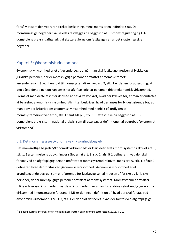for så vidt som den vedrører direkte beskatning, mens moms er en indirekte skat. De momsmæssige begreber skal således fastlægges på baggrund af EU-momsregulering og EUdomstolens praksis uafhængigt af skattereglerne om fastlæggelsen af det skattemæssige begreber.75

## Kapitel 5: Økonomisk virksomhed

Økonomisk virksomhed er et afgørende begreb, når man skal fastlægge kredsen af fysiske og juridiske personer, der er momspligtige personer omfattet af momssystemets anvendelsesområde. I henhold til momssystemdirektivet art. 9, stk. 1 er det en forudsætning, at den pågældende person kan anses for afgiftspligtig, at personen driver økonomisk virksomhed. Formålet med dette afsnit er dermed at beskrive konkret, hvad der kræves for, at man er omfattet af begrebet økonomisk virksomhed. Afsnittet beskriver, hvad der anses for fyldestgørende for, at man opfylder kriteriet om økonomisk virksomhed med henblik på ordlyden af momssystemdirektivet art. 9, stk. 1 samt ML § 3, stk. 1. Dette vil ske på baggrund af EUdomstolens praksis samt national praksis, som tilrettelægger definitionen af begrebet "økonomisk virksomhed". 

#### 5.1. Det momsmæssige økonomiske virksomhedsbegreb

Det momsretlige begreb "økonomisk virksomhed" er klart defineret i momssystemdirektivet art. 9, stk. 1. Bestemmelsens opbygning er således, at art. 9, stk. 1, afsnit 1 definerer, hvad der skal forstås ved en afgiftspligtig person omfattet af momssystemdirektivet, mens art. 9, stk. 1, afsnit 2 definerer, hvad der forstås ved økonomisk virksomhed. Økonomisk virksomhed er et grundlæggende begreb, som er afgørende for fastlæggelsen af kredsen af fysiske og juridiske personer, der er momspligtige personer omfattet af momssystemet. Momssystemet omfatter tillige erhvervsvirksomheder, dvs. de virksomheder, der anses for at drive selvstændig økonomisk virksomhed i momsmæssig forstand. I ML er der ingen definition af, hvad der skal forstås ved økonomisk virksomhed. I ML § 3, stk. 1 er der blot defineret, hvad der forstås ved afgiftspligtige

 $75$  Elgaard, Karina, Interaktionen mellem momsretten og indkomstskatteretten, 2016, s. 201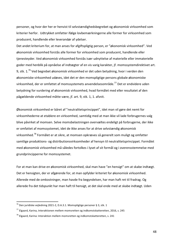personer, og hvor der her er henvist til selvstændighedsbegrebet og økonomisk virksomhed som kriterier herfor. Udtrykket omfatter ifølge lovbemærkningerne alle former for virksomhed som producent, handlende eller leverandør af ydelser.

Det andet kriterium for, at man anses for afgiftspligtig person, er "økonomisk virksomhed". Ved økonomisk virksomhed forstås alle former for virksomhed som producent, handlende eller tjenesteyder. Ved økonomisk virksomhed forstås især udnyttelse af materielle eller immaterielle goder med henblik på opnåelse af indtægter af en vis varig karakter, jf. momssystemdirektivet art. 9, stk.  $1.^{76}$  Ved begrebet økonomisk virksomhed er det uden betydning, hvor i verden den økonomiske virksomhed udøves, idet det er den momspligtige persons globale økonomiske virksomhed, der er omfattet af momssystemets anvendelsesområde.<sup>77</sup> Det er endvidere uden betydning for vurdering af økonomisk virksomhed, hvad formålet med eller resultatet af den pågældende virksomhed måtte være, jf. art. 9, stk. 1, 1. afsnit.

Økonomisk virksomhed er båret af "neutralitetsprincippet", idet man vil gøre det nemt for virksomhederne at etablere en virksomhed, samtidig med at man ikke vil lade forbrugernes valg blive påvirket af momsen. Selve momsbelastningen overvæltes endeligt på forbrugerne, der ikke er omfattet af momssystemet, idet de ikke anses for at drive selvstændig økonomisk virksomhed.<sup>78</sup> Formålet er at sikre, at momsen opkræves så generelt som muligt og omfatter samtlige produktions- og distributionsvirksomheder af hensyn til neutralitetsprincippet. Formålet med økonomisk virksomhed må således fortolkes i lyset af sit formål og i overensstemmelse med grundprincipperne for momssystemet.

For at man kan drive en økonomisk virksomhed, skal man have "en hensigt" om at skabe indtægt. Det er hensigten, der er afgørende for, at man opfylder kriteriet for økonomisk virksomhed. Allerede med de omkostninger, man havde fra begyndelsen, har man haft ret til fradrag. Og allerede fra det tidspunkt har man haft til hensigt, at det skal ende med at skabe indtægt. Uden

 $^{76}$  Den juridiske vejledning 2021-2, D.A.3.1. Momspligtige personer § 3, stk. 1

 $177$  Elgaard, Karina, Interaktionen mellem momsretten og indkomstskatteretten, 2016, s. 245

 $78$  Elgaard, Karina: Interaktion mellem momsretten og indkomstskatteretten, s. 241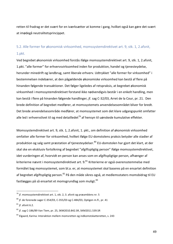retten til fradrag er det svært for en iværksætter at komme i gang, hvilket også kan gøre det svært at imødegå neutralitetsprincippet.

## 5.2. Alle former for økonomisk virksomhed, momssystemdirektivet art. 9, stk. 1, 2.afsnit, 1.pkt.

Ved begrebet økonomisk virksomhed forstås ifølge momssystemdirektivet art. 9, stk. 1, 2.afsnit, 1.pkt. "alle former" for erhvervsvirksomhed inden for produktion, handel og tjenesteydelse, herunder minedrift og landbrug, samt liberale erhverv. Udtrykket "alle former for virksomhed" i bestemmelsen indebærer, at den pågældende økonomiske virksomhed kan bestå af flere på hinanden følgende transaktioner. Det følger ligeledes af retspraksis, at begrebet økonomisk virksomhed i momssystemdirektivet forstand ikke nødvendigvis består i en enkelt handling, men kan bestå i flere på hinanden følgende handlinger, jf. sag C-32/03, Arret de la Cour, pr. 21. Den brede definition af begrebet medfører, at momssystemets anvendelsesområdet bliver for bredt. Det brede anvendelsesområde medfører, at momssystemet som det klare udgangspunkt omfatter alle led i erhvervslivet til og med detailledet<sup>79</sup> af hensyn til uønskede kumulative effekter.

Momssystemdirektivet art. 9, stk. 1, 2.afsnit, 1. pkt., om definition af økonomisk virksomhed omfatter alle former for virksomhed, hvilket ifølge EU-domstolens praksis betyder alle stadier af produktion og salg samt præstation af tjenesteydelser.<sup>80</sup> EU-domstolen har gjort det klart, at der skal ske en eksklusiv fortolkning af begrebet "afgiftspligtig person" ifølge momssystemdirektivet, idet vurderingen af, hvorvidt en person kan anses som en afgiftspligtige person, afhænger af kriterierne nævnt i momssystemdirektivet art.  $9.^{81}$  Kriterierne er også overensstemmelse med formålet bag momssystemet, som bl.a. er, at momssystemet skal baseres på en ensartet definition af begrebet afgiftspligtig person.<sup>82</sup> På den måde sikres også, at medlemsstaters momsbidrag til EU fastlægges på så ensartet et momsgrundlag som muligt.  $83$ 

49

 $79$  jf. momssystemdirektivet art. 1, stk. 2, 3. afsnit og præamblens nr. 5

 $80$  jf. de forenede sager C-354/03, C-355/03 og C-484/03, Optigen m.fl., pr. 41

 $81$  if. afsnit 6.2.

 $82$  jf. sag C-186/89 Van Tiem, pr. 25, SKM2010.842.SR, SKM2011.539.SR

 $83$  Elgaard, Karina: Interaktion mellem momsretten og indkomstskatteretten, s. 243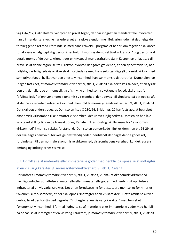Sag C-62/12, Galin Kostov, vedrører en privat foged, der har indgået en mandataftale, hvorefter han på mandantens vegne har erhvervet en række ejendomme i Bulgarien, uden at det ifølge den forelæggende ret stod i forbindelse med hans erhverv. Spørgsmålet her er, om fogeden skal anses for at være en afgiftspligtig person i henhold til momssystemdirektivet art. 9, stk. 1, og derfor skal betale moms af de transaktioner, der er knyttet til mandataftalen. Galin Kostov har anlagt sag til prøvelse af denne afgørelse fra Direktor, hvorved det gøres gældende, at den tjenesteydelse, han udførte, var lejlighedsvis og ikke stod i forbindelse med hans selvstændige økonomisk virksomhed som privat foged, hvilket var den eneste virksomhed, han var momsregistreret for. Domstolen har i sagen fastslået, at momssystemdirektivet art. 9, stk. 1, 2. afsnit skal fortolkes således, at en fysisk person, der allerede er momspligtig af sin virksomhed som selvstændig foged, skal anses for "afgiftspligtig" af enhver anden økonomisk virksomhed, der udøves lejlighedsvis, på betingelse af, at denne virksomhed udgør virksomhed i henhold til momssystemdirektivet art. 9, stk. 1, 2. afsnit. Det skal dog understreges, at Domstolen i sag C-230/94, Enkler, pr. 20 har fastslået, at begrebet økonomisk virksomhed ikke omfatter virksomhed, der udøves lejlighedsvis. Domstolen har ikke selv taget stilling til, om de transaktioner, Renate Enkler foretog, skulle anses for "økonomisk virksomhed" i momsdirektivs forstand, da Domstolen bemærkede i Enkler-dommen pr. 24-29, at der skal tages hensyn til forskellige omstændigheder, heriblandt det pågældende godes art, forbindelsen til den normale økonomiske virksomhed, virksomhedens varighed, kundekredsens omfang og indtægternes størrelse.

## 5.3. Udnyttelse af materielle eller immaterielle goder med henblik på opnåelse af indtægter af en vis varig karakter, jf. momssystemdirektivet art. 9, stk. 1, 2.afsnit

Der anføres i momssystemdirektivet art. 9, stk. 1, 2. afsnit, 2. pkt., at økonomisk virksomhed navnlig omfatter udnyttelse af materielle eller immaterielle goder med henblik på opnåelse af indtægter af en vis varig karakter. Det er en forudsætning for at statuere momspligt for kriteriet "økonomisk virksomhed", at der skal opnås "indtægter af en vis karakter". Dette afsnit beskriver derfor, hvad der forstås ved begrebet "indtægter af en vis varig karakter" med begrebet "økonomisk virksomhed" i form af "udnyttelse af materielle eller immaterielle goder med henblik på opnåelse af indtægter af en vis varig karakter", jf. momssystemdirektivet art. 9, stk. 1, 2. afsnit.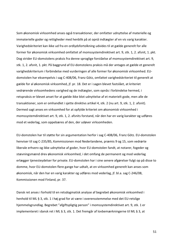Som økonomisk virksomhed anses også transaktioner, der omfatter udnyttelse af materielle og immaterielle goder og rettigheder med henblik på at opnå indtægter af en vis varig karakter. Varighedskriteriet kan ikke ud fra en ordlydsfortolkning udvides til at gælde generelt for alle former for økonomisk virksomhed omfattet af momssystemdirektivet art. 9, stk. 1, 2. afsnit, 1. pkt. Dog strider EU-domstolens praksis fra denne sproglige forståelse af momssystemdirektivet art. 9, stk. 1, 2. afsnit, 1. pkt. På baggrund af EU-domstolens praksis må der antages at gælde et generelt varighedskriterium i forbindelse med vurderingen af alle former for økonomisk virksomhed. EUdomstolen har eksempelvis i sag C-408/06, Franz Götz, omfattet varighedskriteriet til generelt at gælde for al økonomisk virksomhed, jf. pr. 18. Det er i sagen blevet fastslået, at kriteriet vedrørende virksomhedens varighed og de indtægter, som opnås i forbindelse hermed, i retspraksis er blevet anset for at gælde ikke blot udnyttelse af et materielt gode, men alle de transaktioner, som er omhandlet i sjette direktivs artikel 4, stk. 2 (nu art. 9, stk. 1, 2. afsnit). Dermed sagt anses en virksomhed for at opfylde kriteriet om økonomisk virksomhed i momssystemdirektivet art. 9, stk. 1, 2. afsnits forstand, når den har en varig karakter og udføres mod et vederlag, som oppebæres af den, der udøver virksomheden.

EU-domstolen har til støtte for sin argumentation herfor i sag C-408/06, Franz Götz. EU-domstolen henviser til sag C-235/85, Kommissionen mod Nederlandene, præmis 9 og 15, som vedrørte liberale erhverv og ikke udnyttelse af goder, hvor EU-domstolen fandt, at notarer, fogeder og stævningsmænd drev økonomisk virksomhed, i det omfang de permanent og mod vederlag erlægger tjenesteydelser for private. EU-domstolen har i sine senere afgørelser fulgt op på disse to domme, hvor EU-domstolen flere gange har udtalt, at en virksomhed generelt kan anses som økonomisk, når den har en varig karakter og udføres mod vederlag, if. bl.a. sag C-246/08, Kommissionen mod Finland, pr. 37.

Dansk ret anses i forhold til en retsdogmatisk analyse af begrebet økonomisk virksomhed i henhold til ML § 3, stk. 1 i høj grad for at være i overensstemmelse med det EU-retslige hjemmelsgrundlag. Begrebet "afgiftspligtig person" i momssystemdirektivet art. 9, stk. 1 er implementeret i dansk ret i ML § 3, stk. 1. Det fremgår af lovbemærkningerne til ML § 3, at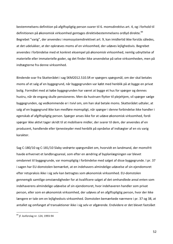bestemmelsens definition på afgiftspligtig person svarer til 6. momsdirektivs art. 4, og i forhold til definitionen på økonomisk virksomhed gentages direktivbestemmelsens ordlyd direkte.<sup>84</sup> Begrebet "varig", der anvendes i momssystemdirektivet art. 9, kan imidlertid ikke forstås således, at det udelukker, at der opkræves moms af en virksomhed, der udøves lejlighedsvis. Begrebet anvendes i forbindelse med et konkret eksempel på økonomisk virksomhed, nemlig udnyttelse af materielle eller immaterielle goder, og det finder ikke anvendelse på selve virksomheden, men på indtægterne fra denne virksomhed.

Bindende svar fra Skatterådet i sag SKM2012.510.SR er spørgers spørgsmål, om der skal betales moms af et salg af en byggegrund, når byggegrunden var købt med henblik på at bygge en privat bolig. Formålet med at købe byggegrunden har været at bygge et hus for spørger og dennes hustru, når de engang skulle pensioneres. Men da hustruen flytter til plejehjem, vil spørger sælge byggegrunden, og vedkommende er i tvivl om, om han skal betale moms. Skatterådet udtaler, at salg af en byggegrund ikke kan medføre momspligt, når spørger i denne forbindelse ikke handler i egenskab af afgiftspligtig person. Spørger anses ikke for at udøve økonomisk virksomhed, fordi spørger ikke aktivt tager skridt til at mobilisere midler, der svarer til dem, der anvendes af en producent, handlende eller tjenesteyder med henblik på opnåelse af indtægter af en vis varig karakter. 

Sag C-180/10 og C-181/10 Slaby vedrørte spørgsmålet om, hvorvidt en landmand, der momsfrit havde erhvervet et landbrugsareal, som efter en ændring af byplanlægningen var blevet omdannet til byggegrunde, var momspligtig i forbindelse med salget af disse byggegrunde. I pr. 37 i sagen har EU-domstolen bemærket, at en indehavers almindelige udøvelse af sin ejendomsret efter retspraksis ikke i sig selv kan betragtes som økonomisk virksomhed. EU-domstolen gennemgik samtlige omstændigheder for at kvalificere salget af det omhandlede areal enten som indehaverens almindelige udøvelse af sin ejendomsret, hvor indehaveren handler som privat person, eller som en økonomisk virksomhed, der udøves af en afgiftspligtig person, hvor der ikke længere er tale om en lejlighedsvis virksomhed. Domstolen bemærkede nærmere i pr. 37 og 38, at antallet og omfanget af transaktioner ikke i sig selv er afgørende. Endvidere er det blevet fastslået

52

 $84$  jf. lovforslag nr. 124, 1993-94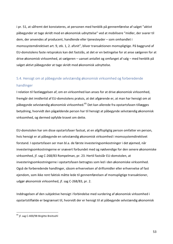i pr. 51, at såfremt det konstateres, at personen med henblik på gennemførelse af salget "aktivt påbegynder at tage skridt mod en økonomisk udnyttelse" ved at mobilisere "midler, der svarer til dem, der anvendes af producent, handlende eller tjenesteyder - som omhandlet i momssystemdirektivet art. 9, stk. 1, 2. afsnit", bliver transaktionen momspligtige. På baggrund af EU-domstolens faste retspraksis kan det fastslås, at det er en betingelse for at anse sælgeren for at drive økonomisk virksomhed, at sælgeren – uanset antallet og omfanget af salg – med henblik på salget aktivt påbegynder at tage skridt mod økonomisk udnyttelse.

## 5.4. Hensigt om at påbegynde selvstændig økonomisk virksomhed og forberedende handlinger

I relation til fastlæggelsen af, om en virksomhed kan anses for at drive økonomisk virksomhed, fremgår det imidlertid af EU-domstolens praksis, at det afgørende er, at man har hensigt om at påbegynde selvstændig økonomisk virksomhed.<sup>85</sup> Det kan allerede fra opstartsfasen tillægges betydning, hvorvidt den pågældende person har til hensigt at påbegynde selvstændig økonomisk virksomhed, og dermed opfylde kravet om dette.

EU-domstolen har om disse opstartsfaser fastsat, at en afgiftspligtig person omfatter en person, hvis hensigt er at påbegynde en selvstændig økonomisk virksomhed i momssystemdirektivet forstand. I opstartsfasen ser man bl.a. de første investeringsomkostninger i det øjemed, når investeringsomkostningerne er snævert forbundet med og nødvendige for den senere økonomiske virksomhed, jf. sag C-268/83 Rompelman, pr. 23. Hertil fastslår EU-domstolen, at investeringsomkostningerne i opstartsfasen betragtes som led i den økonomiske virksomhed. Også de forberedende handlinger, såsom erhvervelsen af driftsmidler eller erhvervelse af fast ejendom, som ikke rent faktisk måtte lede til gennemførelsen af momspligtige transaktioner, udgør økonomisk virksomhed, jf. sag C-268/83, pr. 2.

Inddragelsen af den subjektive hensigt i forbindelse med vurdering af økonomisk virksomhed i opstartstilfælde er begrænset til, hvorvidt der er hensigt til at påbegynde selvstændig økonomisk

 $85$  jf. sag C-400/98 Birgitte Breitsohl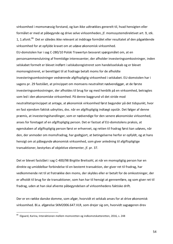virksomhed i momsmæssig forstand, og kan ikke udtrækkes generelt til, hvad hensigten eller formålet er med at påbegynde og drive selve virksomheden, jf. momssystemdirektivet art. 9, stk. 1, 1.afsnit.<sup>86</sup> Det er således ikke relevant at inddrage formålet eller resultatet af den pågældende virksomhed for at opfylde kravet om at udøve økonomisk virksomhed. EU-domstolen har i sag C-280/10 Polski Trawertyn besvaret spørgsmålet om, at en personsammenslutning af fremtidige interessenter, der afholder investeringsomkostninger, inden selskabet formelt er blevet indført i selskabsregistreret som handelsselskab og er blevet momsregistreret, er berettiget til at fradrage betalt moms for de afholdte investeringsomkostninger vedrørende afgiftspligtig virksomhed i selskabet. EU-domstolen har i sagens pr. 29 fastslået, at princippet om momsens neutralitet nødvendiggør, at de første investeringsomkostninger, der afholdes til brug for og med henblik på en virksomhed, betragtes som led i den økonomiske virksomhed. På denne baggrund vil det stride mod neutralitetsprincippet at antage, at økonomisk virksomhed først begynder på det tidspunkt, hvor en fast ejendom faktisk udnyttes, dvs. når en afgiftspligtig indtægt opstår. Det følger af denne præmis, at investeringshandlinger, som er nødvendige for den senere økonomiske virksomhed, anses for foretaget af en afgiftspligtig person. Det er fastsat af EU-domstolens praksis, at egenskaben af afgiftspligtig person først er erhvervet, og retten til fradrag først kan udøves, når den, der anmoder om momsfradrag, har godtgjort, at betingelserne herfor er opfyldt, og at hans hensigt om at påbegynde økonomisk virksomhed, som giver anledning til afgiftspligtige transaktioner, bestyrkes af objektive elementer, if, pr. 37.

Det er blevet fastslået i sag C-400/98 Birgitte Breitsohl, at når en momspligtig person har en direkte og umiddelbar forbindelse til en bestemt transaktion, der giver ret til fradrag, har vedkommende ret til at fratrække den moms, der skyldes eller er betalt for de omkostninger, der er afholdt til brug for de transaktioner, som han har til hensigt at gennemføre, og som giver ret til fradrag, uden at han skal afvente påbegyndelsen af virksomhedens faktiske drift.

Der er en række danske domme, som afgør, hvorvidt et selskab anses for at drive økonomisk virksomhed. Bl.a. afgørelse SKM2006.647.VLR, som drejer sig om, hvorvidt sagsøgeren drev

 $86$  Elgaard, Karina, Interaktionen mellem momsretten og indkomstskatteretten, 2016, s. 248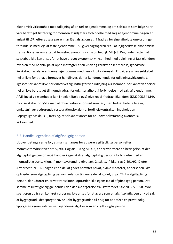økonomisk virksomhed med udlejning af en række ejendomme, og om selskabet som følge heraf varr berettiget til fradrag for momsen af udgifter i forbindelse med salg af ejendomme. Sagen er anlagt til LSR, efter at sagsøgeren har fået afslag om at få fradrag for sine afholdte omkostninger i forbindelse med leje af faste ejendomme. LSR giver sagsøgeren ret i, at lejlighedsvise økonomiske transaktioner er omfattet af begrebet økonomisk virksomhed, jf. ML § 3. Dog finder retten, at selskabet ikke kan anses for at have drevet økonomisk virksomhed med udlejning af fast ejendom, hverken med henblik på at opnå indtægter af en vis varig karakter eller mere lejlighedsvise. Selskabet har alene erhvervet ejendomme med henblik på videresalg. Endvidere anses selskabet heller ikke for at have foretaget handlinger, der er kendetegnende for udlejningsvirksomhed, ligesom selskabet ikke har erhvervet sig indtægter ved udlejningsvirksomhed. Selskabet var derfor heller ikke berettiget til momsfradrag for udgifter afholdt i forbindelse med salg af ejendomme. Afvikling af virksomheder kan i nogle tilfælde også give ret til fradrag. Bl.a. dom SKM2005.341.HR, hvor selskabet ophørte med at drive restaurationsvirksomhed, men fortsat betalte leje og omkostninger vedrørende restaurationslokalerne, fordi lejekontrakten indeholdt en uopsigelighedsklausul, fastslog, at selskabet anses for at udøve selvstændig økonomisk virksomhed. 

#### 5.5. Handle i egenskab af afgiftspligtig person

Udover betingelserne for, at man kan anses for at være afgiftspligtig person efter momssystemdirektivet art. 9, stk. 1 og art. 10 og ML § 3, er der ydermere en betingelse, at den afgiftspligtige person også handler i egenskab af afgiftspligtig person i forbindelse med en momspligtig transaktion, jf. momssystemdirektivet art. 2, stk. 1, jf. bl.a. sag C-291/92, Dieter Armbrecht, pr. 16. I sagen er en del af godet benyttet privat, hvilke medfører, at personen ikke optræder som afgiftspligtig person i relation til denne del af godet, jf. pr. 24. En afgiftspligtig person, der udfører en privat transaktion, optræder ikke egenskab af afgiftspligtig person. Det samme resultat gør sig gældende i den danske afgørelse fra Skatterådet SKM2012.510.SR, hvor spørgeren ud fra en konkret vurdering ikke anses for at agere som en afgiftspligtig person ved salg af byggegrund, idet spørger havde købt byggegrunden til brug for at opføre en privat bolig. Spørgeren agerer således ved ejendomssalg ikke som en afgiftspligtig person.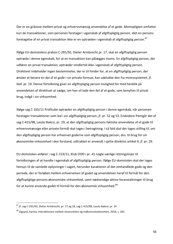Der er en gråzone mellem privat og erhvervsmæssig anvendelse af et gode. Momspligten omfatter kun de transaktioner, som personen foretager i egenskab af afgiftspligtig person, idet en persons foretagelse af en privat transaktion ikke er en optræden i egenskab af afgiftspligtig person.<sup>87</sup>

Ifølge EU-domstolens praksis C-291/92, Dieter Armbrecht pr. 17, skal en afgiftspligtig person optræde i denne egenskab, for at en transaktion kan pålægges moms. En afgiftspligtig person, der udfører en privat transaktion, optræder imidlertid ikke i egenskab af afgiftspligtig person. Direktivet indeholder ingen bestemmelse, der er til hinder for, at en afgiftspligtig person, der ønsker at bevare en del af et gode i sin private formue, kan udelukke den fra momssystemet, if. ibid. pr. 19. Denne fortolkning giver en afgiftspligtig person mulighed for med henblik på anvendelsen af direktivet at vælge, om han vil lade den del af et gode, som benyttes til privat brug, indgå i sin virksomhed.

Ifølge sag C-165/11 Profitube optræder en afgiftspligtig person i denne egenskab, når personen foretager transaktioner som led i sin afgiftspligtig person, jf. pr. 52 og 53. Endvidere fremgår det af sag C-415/98, Laszlo Bakcsi, pr. 29, at den afgiftspligtig persons faktiske anvendelse af et gode til erhvervsmæssige eller private formål skal tages i betragtning. I så fald skal der tages stilling til, om den afgiftspligtig person har erhvervet goderne som afgiftspligtig person, dvs. til brug for sin økonomiske virksomhed i den forstand, udtrykket er anvendt i sjette direktivs artikel 4, jf. pr. 29.

EU-domstolen anfører i sag C-153/11, Klub OOD i pr. 41 nogle særlige retningslinjer til fortolkningen af at handle i egenskab af afgiftspligtig person. Ifølge EU-domstolen skal der tages hensyn til de samlede oplysninger i sagen, herunder karakteren af det omhandlede gode og den periode, der er forløbet mellem erhvervelsen af godet og anvendelsen heraf til formål for den afgiftspligtige persons økonomiske virksomhed, samt nødvendige aktive foranstaltninger til brug for at kunne anvende godet til formål for den økonomisk virksomhed.<sup>88</sup>

 $87$  if. sag C-291/92, Dieter Armbrecht, pr. 17 og 18, sag C-415/98, Laszlo Bakcsi, pr. 24

 $88$  Elgaard, Karina, Interaktionen mellem momsretten og indkomstskatteretten, 2016, s. 265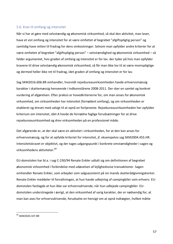#### 5.6. Krav til omfang og intensitet

Når vi har at gøre med selvstændig og økonomisk virksomhed, så skal den aktivitet, man laver, have et vist omfang og intensitet for at være omfattet af begrebet "afgiftspligtig person" og samtidig have retten til fradrag for dens omkostninger. Selvom man opfylder andre kriterier for at være omfattet af begrebet "afgiftspligtig person" – selvstændighed og økonomisk virksomhed – så falder argumentet, hvis graden af omfang og intensitet er for lav. der tyder på hvis man opfylder kravene til drive selvstændig økonomisk virksomhed, så får man ikke lov til at være momspligtige og dermed heller ikke ret til fradrag, idet graden af omfang og intensitet er for lav.

Sag SKM2016.606.BR omhandler, hvorvidt rejsebureauvirksomheden havde erhvervsmæssig karakter i skattemæssig henseende i indkomstårene 2008-2011. Der sker en samlet og konkret vurdering af afgørelsen. Efter praksis er hovedkriterierne for, om man anses for økonomisk virksomhed, om virksomheden har intensitet (fornødent omfang), og om virksomheden er etableret og drevet med udsigt til at opnå en fortjeneste. Rejsebureauvirksomheden her opfylder kriterium om intensitet, idet A havde de fornødne faglige forudsætninger for at drive rejsebureauvirksomhed og drev virksomheden på en professionel måde.

Det afgørende er, at der skal være en aktivitet i virksomheden, for at den kan anses for erhvervsmæssig, og for at opfylde kriteriet for intensitet, jf. eksempelvis sag SKM2004.455.HR. Intensitetskravet er objektivt, og der tages udgangspunkt i konkrete omstændigheder i sagen og virksomhedens aktiviteter.<sup>89</sup>

EU-domstolen har bl.a. i sag C-230/94 Renate Enkler udtalt sig om definitionen af begrebet økonomisk virksomhed i forbindelse med udøvelsen af lejlighedsvise transaktioner. Sagen omhandler Renate Enkler, som arbejder som salgsassistent på sin mands skatterådgivningskontor. Renate Enkler meddeler til forvaltningen, at hun havde udlejning af campingbiler som erhverv. EUdomstolen fastlagde at hun ikke var erhvervsdrivende, når hun udlejede campingbiler. EUdomstolen understregede i øvrigt, at den virksomhed af varig karakter, der er nødvendig for, at man kan ases for erhvervsdrivende, forudsatte en hensigt om at opnå indtægter, hvilket måtte

 <sup>89</sup> SKM2020.107.BR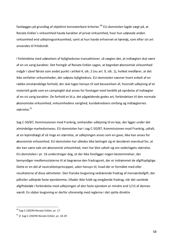fastlægges på grundlag af objektivt konstaterbare kriterier.<sup>90</sup> EU-domstolen lagde vægt på, at Renate Enkler's virksomhed havde karakter af privat virksomhed, hvor hun udøvede anden virksomhed end udlejningsvirksomhed, samt at hun havde erhvervet et køretøj, som efter sin art anvendes til fritidsmål.

I forbindelse med udøvelsen af lejlighedsvise transaktioner, så vægtes det, at indtægten skal være af en vis varig karakter. Det fremgår af Renate Enkler-sagen, at begrebet økonomisk virksomhed indgår i såvel første som andet punkt i artikel 4, stk. 2 (nu art. 9, stk. 1), hvilket medfører, at det ikke omfatter virksomheder, der udøves lejlighedsvis. EU-domstolen nævner hvert enkelt af en række omstændelige forhold, der skal tages hensyn til ved besvarelsen af, hvorvidt udlejning af et materielt gode som en campingbil skal anses for foretaget med henblik på opnåelse af indtægter af en vis varig karakter. De forhold er bl.a. det pågældende godes art, forbindelsen til den normale økonomiske virksomhed, virksomhedens varighed, kundekredsens omfang og indtægternes størrelse.<sup>91</sup>

Sag C-50/87, Kommissionen mod Frankrig, omhandler udlejning til en leje, der ligger under det almindelige markedsniveau. EU-domstolen har i sag C-50/87, Kommissionen mod Frankrig, udtalt, at en lejeindtægt af så ringe en størrelse, at udlejningen anses som en gave, ikke kan anses for økonomisk virksomhed. EU-domstolen har således ikke betinget sig et decideret overskud for, at der kan være tale om økonomisk virksomhed, men har blot udtalt sig om vederlagets størrelse. EU-domstolen i pr. 16 understreger dog, at der ikke foreligger nogen bestemmelser, der bemyndiger medlemsstaterne til at begrænse den fradragsret, der er indrømmet de afgiftspligtige. Dette er en del af neutralitetsprincippet, uden hensyn til, hvad der er formålet med eller resultaterne af disse aktiviteter. Den franske lovgivning vedrørende fradrag af merværdiafgift, der påhviler udlejede faste ejendomme, tillader ikke fuldt og omgående fradrag, når det samlede afgiftsbeløb i forbindelse med udlejningen af den faste ejendom er mindre end 1/15 af dennes værdi. En sådan lovgivning er derfor uforenelig med reglerne i det sjette direktiv

 $90$  Sag C-230/94 Renate Enkler, pr. 17

 $91$  jf. Sag C-230/94 Renate Enkler, pr. 24-29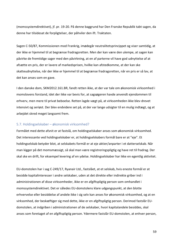(momssystemdirektivet), jf. pr. 19-20. På denne baggrund har Den Franske Republik tabt sagen, da denne har tilsidesat de forpligtelser, der påhviler den ift. Traktaten.

Sagen C-50/87, Kommissionen mod Frankrig, imødegår neutralitetsprincippet og viser samtidig, at der ikke er hjemmel til at begrænse fradragsretten. Men der kan være den ulempe, at sagen kan påvirke de fremtidige sager med den påvirkning, at en af parterne vil have god udnyttelse af at afsætte en pris, der er lavere af markedsprisen, hvilke kan afstedkomme, at der kan ske skatteudnyttelse, når der ikke er hjemmel til at begrænse fradragsretten, når en pris er så lav, at det kan anses som en gave.

I den danske dom, SKM2012.161.BR, fandt retten ikke, at der var tale om økonomisk virksomhed i momslovens forstand, idet der ikke var bevis for, at sagsøgeren havde anvendt ejendommen til erhverv, men mere til privat beboelse. Retten lagde vægt på, at virksomheden ikke blev drevet intensivt og seriøst. Der blev endvidere set på, at der var lange udsigter til en mulig indtægt, og at arbejdet skred meget langsomt frem.

#### 5.7. Holdingselskaber – økonomisk virksomhed?

Formålet med dette afsnit er at fastslå, om holdingselskaber anses som økonomisk virksomhed. Det interessante ved holdingselskaber er, at holdingselskabers formål bare er at "eje". Et holdingselskab betyder blot, at selskabets formål er at eje aktier/anparter i et datterselskab. Når man kigger på det momsmæssigt, så skal man være registreringspligtig og have ret til fradrag. Der skal ske en drift, for eksempel levering af en ydelse. Holdingselskaber har ikke en egentlig aktivitet.

EU-domstolen har i sag C-249/17, Ryanair Ltd., fastslået, at et selskab, hvis eneste formål er at besidde kapitalinteresser i andre selskaber, uden at det direkte eller indirekte griber ind i administrationen af disse virksomheder, ikke er en afgiftspligtig person som omhandlet i momssystemdirektivet. Det er således EU-domstolens klare udgangspunkt, at den blotte erhvervelse eller besiddelse af andele ikke i sig selv kan anses for økonomisk virksomhed, og at en virksomhed, der beskæftiger sig med dette, ikke er en afgiftspligtig person. Derimod fastslår EUdomstolen, at indgriben i administrationen af de selskaber, hvori kapitalandele besiddes, skal anses som foretaget af en afgiftspligtig person. Ydermere fastslår EU-domstolen, at enhver person,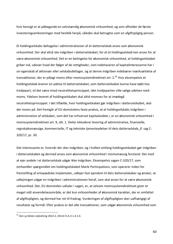hvis hensigt er at påbegynde en selvstændig økonomisk virksomhed, og som afholder de første investeringsomkostninger med henblik herpå, således skal betragtes som en afgiftspligtig person.

Et holdingselskabs deltagelse i administrationen af et datterselskab anses som økonomisk virksomhed. Der skal altså ske indgriben i datterselskabet, for at et holdingselskab kan anses for at være økonomisk virksomhed. Det er en betingelse for økonomisk virksomhed, at holdingselskabet griber ind, udover hvad der følger af de rettigheder, som indehaveren af kapitalinteresserne har i sin egenskab af aktionær eller selskabsdeltager, og at denne indgriben indebærer iværksættelse af transaktioner, der er pålagt moms efter momssystemdirektivet art. 2.<sup>92</sup> Hvis eksempelvis et holdingselskab leverer en ydelse til datterselskabet, som datterselskabet kunne have købt hos tredjepart, vil det være imod neutralitetsprincippet, idet tredjeparten ville sælge ydelsen med moms. Ydelsen leveret af holdingselskabet skal altid momses for at imødegå neutralitetsprincippet. I det tilfælde, hvor holdingselskabet gør indgriben i datterselskabet, skal der moms på. Det fremgår af EU-domstolens faste praksis, at et holdingselskabs indgriben i administration af selskaber, som det har erhvervet kapitalandele i, er en økonomisk virksomhed i momssystemdirektivet art. 9, stk. 1. Dette inkluderer levering af administrative, finansielle, regnskabsmæssige, kommercielle, IT og tekniske tjenesteydelser til dets datterselskab, jf. sag C-320/17, pr. 30.

Det interessante er, hvornår der sker indgriben, og i hvilket omfang holdingselskabet gør indgriben i datterselskabet og dermed anses som økonomisk virksomhed i momsmæssig forstand. Det med at ejer andele i et datterselskab udgør ikke indgriben. Eksempelvis sagen C-320/17, som omhandler spørgsmålet om holdingselskabet Marle Participations, som opererer inden for fremstilling af ortopædiske implantater, udlejer fast ejendom til dets datterselskaber og ønsker, at udlejningen udgør en indgriben i administrationen heraf, som skal anses for at være økonomisk virksomhed. Det, EU-domstolen udtaler i sagen, er, at selvom momssystemdirektivet giver et meget vidt anvendelsesområde, er det kun virksomheder af økonomisk karakter, der er omfattet af afgiftspligten, og dermed har ret til fradrag. Vurderingen af afgiftspligten sker uafhængigt af resultater og formål. Efter praksis er det alle transaktioner, som udgør økonomisk virksomhed som

60

 $92$  Den juridiske vejledning 2022-2, Afsnit D.A.3.1.4.2.4.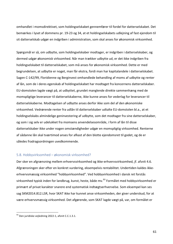omhandlet i momsdirektivet, som holdingselskabet gennemfører til fordel for datterselskabet. Det bemærkes i lyset af dommens pr. 19-23 og 34, at et holdingselskabets udlejning af fast ejendom til sit datterselskab udgør en indgriben i administration, som skal anses for økonomisk virksomhed.

Spørgsmål er så, om udbytte, som holdingselskaber modtager, er indgriben i datterselskaber, og dermed udgør økonomisk virksomhed. Når man trækker udbytte ud, er det ikke indgriben fra holdingselskabet til datterselskabet, som må anses for økonomisk virksomhed. Dette er med begrundelsen, at udbytte er noget, man får ekstra, fordi man har kapitalandele i datterselskabet. Sagen C-142/99, Floridienne og Berginvest omhandlede behandling af moms af udbytte og renter af lån, som de i deres egenskab af holdingselskabet har modtaget fra koncernens datterselskaber. EU-domstolen lagde vægt på, at udbyttet, grundet manglende direkte sammenhæng med de momspligtige leverancer til datterselskaberne, ikke kunne anses for vederlag for leverancer til datterselskaberne. Modtagelsen af udbytte anses derfor ikke som del af den økonomiske virksomhed. Vedrørende renter fra udlån til datterselskaber udtalte EU-domstolen bl.a., at et holdingselskabs almindelige geninvestering af udbytte, som det modtager fra sine datterselskaber, og som i sig selv er udelukket fra momsens anvendelsesområde, i form af lån til disse datterselskaber ikke under nogen omstændigheder udgør en momspligtig virksomhed. Renterne af sådanne lån skal tværtimod anses for afkast af den blotte ejendomsret til godet, og de er således fradragsordningen uvedkommende.

#### 5.8. Hobbyvirksomhed – økonomisk virksomhed?

Der sker en afgrænsning mellem erhvervsvirksomhed og ikke-erhvervsvirksomhed, jf. afsnit 4.6. Afgrænsningen sker efter en konkret vurdering, eksempelvis rentabilitet. Undertiden kaldes ikkeerhvervsmæssig virksomhed "hobbyvirksomhed". Ved hobbyvirksomhed i dansk ret forstås virksomhed typisk inden for landbrug, kunst, heste, både mv.<sup>93</sup> Formålet med hobbyvirksomhed er primært af privat karakter snarere end systematisk indtægtserhvervelse. Som eksempel kan ses sag SKM2014.812.LSR, hvor SKAT ikke har kunnet anse virksomheden, der giver underskud, for at være erhvervsmæssig virksomhed. Det afgørende, som SKAT lagde vægt på, var, om formålet er

 $93$  Den juridiske vejledning 2022-1, afsnit C.C.1.3.1.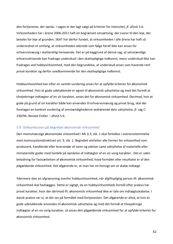den fortjeneste, der opnås. I sagen er der lagt vægt på kriterier for intensitet, jf. afsnit 5.6. Virksomheden har i årene 2006-2011 haft en begrænset omsætning, der svarer til den leje, der betales for leje af grunden. SKAT har derfor fundet, at virksomheden i alle årene har haft så underordnet et omfang, at virksomheden allerede som følge heraf ikke kan anses for erhvervsmæssig i skatteretlig henseende. Det er på baggrund af denne sag, at selvstændige erhvervsdrivende kan fradrage underskud i den skattepligtige indkomst, mens underskud ikke kan fradrages ved hobbyvirksomhed, med den begrundelse, at underskud anses som havende rent privat karakter og derfor uvedkommende for den skattepligtige indkomst.

Hobbyvirksomhed kan efter en samlet vurdering anses for at opfylde kriterier for økonomisk virksomhed. Hvis et gode udelukkende er egnet til økonomisk udnyttelse og med det formål at tilvejebringe indtægter af en vis karakter, anses det for økonomisk virksomhed. Derimod, hvis et gode på grund af sin karakter både kan anvendes til erhvervsmæssig og privat brug, skal der foretages en konkret vurdering af omstændighederne vedrørende dets udnyttelse, jf. sag C- $230/94$ , Renate Enkler – afsnit 5.6.

#### 5.9. Delkonklusion på begrebet økonomisk virksomhed

Den momsmæssige økonomiske virksomhed i ML § 3, stk. 1 skal fortolkes i overensstemmelse med momssystemdirektivet art. 9, stk. 1. Begrebet omfatter alle former for virksomhed som producent, handlende eller leverandør af varer og ydelser samt udnyttelse af materielle eller immaterielle goder med henblik på opnåelse af indtægter af en vis varig karakter. Det er uden betydning for fastsættelsen af økonomisk virksomhed, hvad formålet eller resultatet er af den pågældende virksomhed. Det afgørende er, at man har en hensigt om at skabe indtægt.

Ydermere sker en afgrænsning overfor hobbyvirksomhed, når afgiftspligtig person ift. økonomisk virksomhed skal fastlægges. Dette er vigtigt, da en hobbyvirksomheds formål efter praksis har privat karakter, hvor der derimod ift. økonomisk virksomhed ikke er tale om indtægtsskabelse. I dansk praksis ser vi, at der ses på formålet med fortjenesten. Det afgørende er altså, at hvis et gode udelukkende anvendes til økonomisk udnyttelse og med det formål at tilvejebringe indtægter af en vis varig karakter, så anses den pågældende virksomhed for at opfylde kriteriet for økonomisk virksomhed.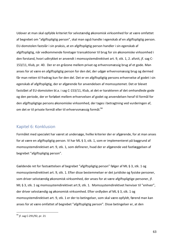Udover at man skal opfylde kriteriet for selvstændig økonomisk virksomhed for at være omfattet af begrebet om "afgiftspligtig person", skal man også handle i egenskab af en afgiftspligtig person. EU-domstolen fastslår i sin praksis, at en afgiftspligtig person handler i sin egenskab af afgiftspligtig, når vedkommende foretager transaktioner til brug for sin økonomiske virksomhed i den forstand, hvori udtrykket er anvendt i momssystemdirektivet art. 9, stk. 1, 2. afsnit, jf. sag C-153/11, Klub, pr. 40. Der er en gråzone mellem privat og erhvervsmæssig brug af et gode. Man anses for at være en afgiftspligtig person for den del, der udgør erhvervsmæssig brug og dermed får man retten til fradrag kun for den del. Det er en afgiftspligtig persons erhvervelse af godet i sin egenskab af afgiftspligtig, der er afgørende for anvendelsen af momssystemet. Det er blevet fastslået af EU-domstolen bl.a. i sag C-153/11, Klub, at det er karakteren af det omhandlede gode og den periode, der er forløbet mellem erhvervelsen af godet og anvendelsen heraf til formål for den afgiftspligtige persons økonomiske virksomhed, der tages i betragtning ved vurderingen af, om det er til private formål eller til erhvervsmæssig formål.<sup>94</sup>

#### Kapitel 6: Konklusion

Formålet med specialet har været at undersøge, hvilke kriterier der er afgørende, for at man anses for at være en afgiftspligtig person. Vi har ML § 3, stk. 1, som er implementeret på baggrund af momssystemdirektivet art. 9, stk. 1, som definerer, hvad der er afgørende ved fastlæggelsen af begrebet "afgiftspligtig person".

Gældende ret for fastsættelsen af begrebet "afgiftspligtig person" følger af ML § 3, stk. 1 og momssystemdirektivet art. 9, stk. 1. Efter disse bestemmelser er det juridiske og fysiske personer, som driver selvstændig økonomisk virksomhed, der anses for at være afgiftspligtige personer, jf. ML § 3, stk. 1 og momssystemdirektivet art.9, stk. 1. Momssystemdirektivet henviser til "enhver", der driver selvstændig og økonomisk virksomhed. Efter ordlyden af ML § 3, stk. 1 og momssystemdirektivet art. 9, stk. 1 er der to betingelser, som skal være opfyldt, førend man kan anses for at være omfattet af begrebet "afgiftspligtig person". Disse betingelser er, at den

 $94$  jf. sag C-291/92, pr. 21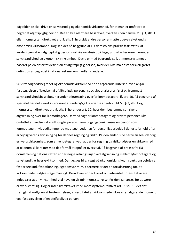pågældende skal drive en selvstændig og økonomisk virksomhed, for at man er omfattet af begrebet afgiftspligtig person. Det er ikke nærmere beskrevet, hverken i den danske ML § 3, stk. 1 eller momssystemdirektivet art. 9, stk. 1, hvorvidt andre personer måtte udøve selvstændig økonomisk virksomhed. Dog kan det på baggrund af EU-domstolens praksis fastsættes, at vurderingen af en afgiftspligtig person skal ske eksklusivt på baggrund af kriterierne, herunder selvstændighed og økonomisk virksomhed. Dette er med begrundelse i, at momssystemet er baseret på en ensartet definition af afgiftspligtig person, hvor der ikke må opstå forskelligartet definition af begrebet i national ret mellem medlemslandene.

Selvstændighedsbegrebet og økonomisk virksomhed er de afgørende kriterier, hvad angår fastlæggelsen af kredsen af afgiftspligtig person. I specialet analyseres først og fremmest selvstændighedsbegrebet, herunder afgrænsning overfor lønmodtagere, jf. art. 10. På baggrund af specialet har det været interessant at undersøge kriterierne i henhold til ML § 3, stk. 1 og momssystemdirektivet art. 9, stk. 1, herunder art. 10, hvor der i bestemmelsen sker en afgrænsning over for lønmodtagere. Dermed sagt er lønmodtagere og private personer ikke omfattet af kredsen af afgiftspligtig person. Som udgangspunkt anses en person som lønmodtager, hvis vedkommende modtager vederlag for personligt arbejde i tjenesteforhold efter arbejdsgiverens anvisning og for dennes regning og risiko. På den anden side har vi en selvstændig erhvervsvirksomhed, som er kendetegnet ved, at der for regning og risiko udøver en virksomhed af økonomisk karakter med det formål at opnå et overskud. På baggrund af praksis fra EUdomstolen og nationalretten er der nogle retningslinjer ved afgrænsning mellem lønmodtagere og selvstændig erhvervsvirksomhed. Der lægges bl.a. vægt på økonomisk risiko, instruktionsbeføjelse, fast arbejdstid, fast aflønning, eget ansvar m.m. Ydermere er det en forudsætning for, at virksomheden udøves regelmæssigt. Derudover er der kravet om intensitet. Intensitetskravet indebærer at en virksomhed skal have en vis minimumsstørrelse, før den kan anses for at være erhvervsmæssig. Dog er intensitetskravet imod momssystemdirektivet art. 9, stk. 1, idet det fremgår af ordlyden af bestemmelsen, at resultatet af virksomheden ikke er et afgørende moment ved fastlæggelsen af en afgiftspligtig person.

64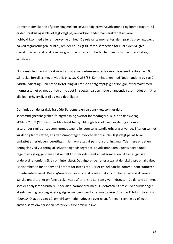Udover at der sker en afgrænsning mellem selvstændig erhvervsvirksomhed og lønmodtagere, så er der i praksis også blevet lagt vægt på, om virksomheden har karakter af at være hobbyvirksomhed eller erhvervsvirksomhed. De relevante momenter, der i praksis blev lagt vægt på ved afgrænsningen, er bl.a., om der er udsigt til, at virksomheden før eller siden vil give overskud – rentabilitetskravet – og samme om virksomheden har den fornødne intensitet og seriøsitet. 

EU-domstolen har i sin praksis udtalt, at anvendelsesområdet for momssystemdirektivet art. 9, stk. 1 skal fortolkes meget vidt, jf. bl.a. sag C-235/85, Kommissionen mod Nederlandene og sag C-348/87, Stichting. Den brede fortolkning af kredsen af afgiftspligtig person gør, at formålet med momssystemet og neutralitetsprincippet imødegås, på den måde at anvendelsesområdet omfatter alle led i erhvervslivet til og med detailledet.

Der findes en del praksis fra både EU-domstolen og dansk ret, som vurderer selvstændighedsbegrebet ift. afgrænsning overfor lønmodtagere. Bl.a. den danske sag SKM2002.339.ØLR, hvor der blev taget hensyn til nogle forhold ved vurdering af, om en assurandør skulle anses som lønmodtager eller som selvstændig erhvervsdrivende. Efter en samlet vurdering fandt retten, at A var lønmodtager, hvorved der bl.a. blev lagt vægt på, at A var omfattet af ferieloven, berettiget til løn, omfattet af pensionsordning, m.v. Ydermere er det en betingelse ved vurdering af selvstændighedsbegrebet, at virksomheden udøves nogenlunde regelmæssigt og gennem en ikke helt kort periode, samt at virksomheden ikke er af ganske underordnet omfang (krav om intensitet). Det afgørende her er altså, at der skal være en aktivitet i virksomheden for at opfylde kriteriet for intensitet. Der er en del danske domme, som statuerer for intensitetskravet. Det afgørende ved intensitetskravet er, at virksomheden ikke skal være af ganske underordnet omfang og skal være af en størrelse, som giver indtægter. De danske domme, som er analyseret nærmere i specialet, harmonerer med EU-domstolens praksis ved vurderingen af selvstændighedsbegrebet og afgrænsningen overfor lønmodtagere. Bl.a. har EU-domstolen i sag -420/10 IO lagde vægt på, om virksomheden udøves i eget navn, for egen regning og på eget ansvar, samt om personen bærer den økonomiske risiko.

65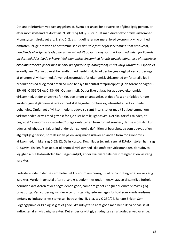Det andet kriterium ved fastlæggelsen af, hvem der anses for at være en afgiftspligtig person, er efter momssystemdirektivet art. 9, stk. 1 og ML § 3, stk. 1, at man driver økonomisk virksomhed. Momssystemdirektivet art. 9, stk. 1, 2. afsnit definerer nærmere, hvad økonomisk virksomhed omfatter. Ifølge ordlyden af bestemmelsen er det "alle former for virksomhed som producent, *handlende eller tjenesteyder, herunder minedrift og landbrug, samt virksomhed inden for liberale* og dermed sidestillede erhverv. Ved økonomisk virksomhed forstås navnlig udnyttelse af materielle *eller immaterielle goder med henblik på opnåelse af indtægter af en vis varig karakter".* I specialet er ordlyden i 2.afsnit blevet behandlet med henblik på, hvad der lægges vægt på ved vurderingen af økonomisk virksomhed. Anvendelsesområdet for økonomisk virksomhed omfatter alle led i produktionsled til og med detailled med hensyn til neutralitetsprincippet, jf. de forenede sager C- $354/03$ , C-355/03 og C-484/03, Optigen m.fl. Det er ikke et krav for at udøve økonomisk virksomhed, at der er gevinst for øje, dog er det en antagelse, at det oftest er tilfældet. Under vurderingen af økonomisk virksomhed skal begrebet omfang og intensitet af virksomheden behandles. Omfanget af virksomhedens udøvelse samt intensitet er med til at bestemme, om virksomheden drives med gevinst for øje eller bare lejlighedsvist. Det skal forstås således, at begrebet "økonomisk virksomhed" tillige omfatter en form for virksomhed, der, selv om den kun udøves lejlighedsvis, falder ind under den generelle definition af begrebet, og som udøves af en afgiftspligtig person, som desuden på en varig måde udøver en anden form for økonomisk virksomhed, if. bl.a. sag C-62/12, Galin Kostov. Dog tillader jeg mig sige, at EU-domstolen har i sag C-230/94, Enkler, fastslået, at økonomisk virksomhed ikke omfatter virksomheder, der udøves lejlighedsvis. EU-domstolen har i sagen anført, at der skal være tale om indtægter af en vis varig karakter. 

Endvidere indeholder bestemmelsen et kriterium om hensigt til at opnå indtægter af en vis varig karakter. Vurderingen skal efter retspraksis bedømmes under hensynstagen til samtlige forhold, herunder karakteren af det pågældende gode, samt om godet er egnet til erhvervsmæssig og privat brug. Ved vurdering kan der efter omstændighederne tages forhold som kundekredsens omfang og indtægternes størrelse i betragtning, jf. bl.a. sag C-230/94, Renate Enkler. Som udgangspunkt er køb og salg af et gode ikke udnyttelse af et gode med henblik på opnåelse af indtægter af en vis varig karakter. Det er derfor vigtigt, at udnyttelsen af godet er vedvarende.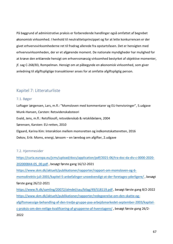På baggrund af administrative praksis er forberedende handlinger også omfattet af begrebet økonomisk virksomhed. I henhold til neutralitetsprincippet og for at lette konkurrencen er der givet erhvervsvirksomhederne ret til fradrag allerede fra opstartsfasen. Det er hensigten med erhvervsvirksomheden, der er et afgørende moment. De nationale myndigheder har mulighed for at kræve den erklærede hensigt om erhvervsmæssig virksomhed bestyrket af objektive momenter, jf. sag C-268/83, Rompelman. Hensigt om at påbegynde en økonomisk virksomhed, som giver anledning til afgiftspligtige transaktioner anses for at omfatte afgiftspligtig person.

## Kapitel 7: Litteraturliste

#### 7.1. Bøger

Loftager Jørgensen, Lars, m.fl.: "Momsloven med kommentarer og EU-henvisninger", 5.udgave Munk-Hansen, Carsten: Retsvidenskabsteori Evald, Jens, m.fl.: Retsfilosofi, retsvidenskab & retskildelære, 2004 Sørensen, Karsten: EU-retten, 2010 Elgaard, Karina Kim: Interaktion mellem momsretten og indkomstskatteretten, 2016 Dekov, Erik: Moms, energi, lønsom – en lærebog om afgifter, 2.udgave

#### 7.2. Hiemmesider

https://curia.europa.eu/jcms/upload/docs/application/pdf/2021-06/tra-doc-da-div-c-0000-2020- 202000844-05\_00.pdf, besøgt første gang 16/12-2021 https://www.skm.dk/aktuelt/publikationer/rapporter/rapport-om-momsloven-og-6 momsdirektiv-juli-2001/kapitel-5-anbefalinger-unoedvendigt-at-der-foretages-yderligere/, besøgt første gang 26/12-2021 https://www.ft.dk/samling/20072/almdel/sau/bilag/49/518119.pdf, besøgt første gang 8/2-2022 https://www.skm.dk/aktuelt/publikationer/rapporter/redegoerelse-om-den-skatte-ogafgiftsmaessige-behandling-af-den-tredje-gruppe-paa-arbejdsmarkedet-september-2003/kapitelc-praksis-om-den-retlige-kvalificering-af-grupperne-af-hvervtagere/, besøgt første gang 26/2-2022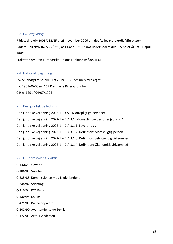#### 7.3. EU-lovgivning

Rådets direktiv 2006/112/EF af 28.november 2006 om det fælles merværdiafgiftssystem Rådets 1.direktiv (67/227/EØF) af 11.april 1967 samt Rådets 2.direktiv (67/228/EØF) af 11.april 1967

Traktaten om Den Europæiske Unions Funktionsmåde, TEUF 

#### 7.4. National lovgivning

Lovbekendtgørelse 2019-09-26 nr. 1021 om merværdiafgift Lov 1953-06-05 nr. 169 Danmarks Riges Grundlov CIR nr 129 af 04/07/1994

#### 7.5. Den juridisk vejledning

| Den juridiske vejledning 2022-1 - D.A.3 Momspligtige personer                   |
|---------------------------------------------------------------------------------|
| Den juridiske vejledning 2022-1 - D.A.3.1. Momspligtige personer § 3, stk. 1    |
| Den juridiske vejledning 2022-1 - D.A.3.1.1. Lovgrundlag                        |
| Den juridiske vejledning 2022-1 - D.A.3.1.2. Definition: Momspligtig person     |
| Den juridiske vejledning 2022-1 - D.A.3.1.3. Definition: Selvstændig virksomhed |
| Den juridiske vejledning 2022-1 - D.A.3.1.4. Definition: Økonomisk virksomhed   |

#### 7.6. EU-domstolens praksis

C-13/02, Faxworld C-186/89, Van Tiem C-235/85, Kommissionen mod Nederlandene C-348/87, Stichting C-210/04, FCE Bank C-230/94, Enkler C-475/03, Banca popolare C-202/90, Ayuntamiento de Sevilla C-472/03, Arthur Andersen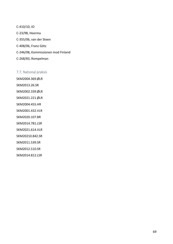C-410/10, IO C-23/98, Heerma C-355/06, van der Steen C-408/06, Franz Götz C-246/08, Kommissionen mod Finland C-268/83, Rompelman

#### 7.7. National praksis

SKM2004.369.ØLR SKM2013.26.SR SKM2002.339.ØLR SKM2021.221.ØLR SKM2004.455.HR SKM2001.432.VLR SKM2020.107.BR SKM2014.781.LSR SKM2021.614.VLR SKM20210.842.SR SKM2011.539.SR SKM2012.510.SR SKM2014.812.LSR